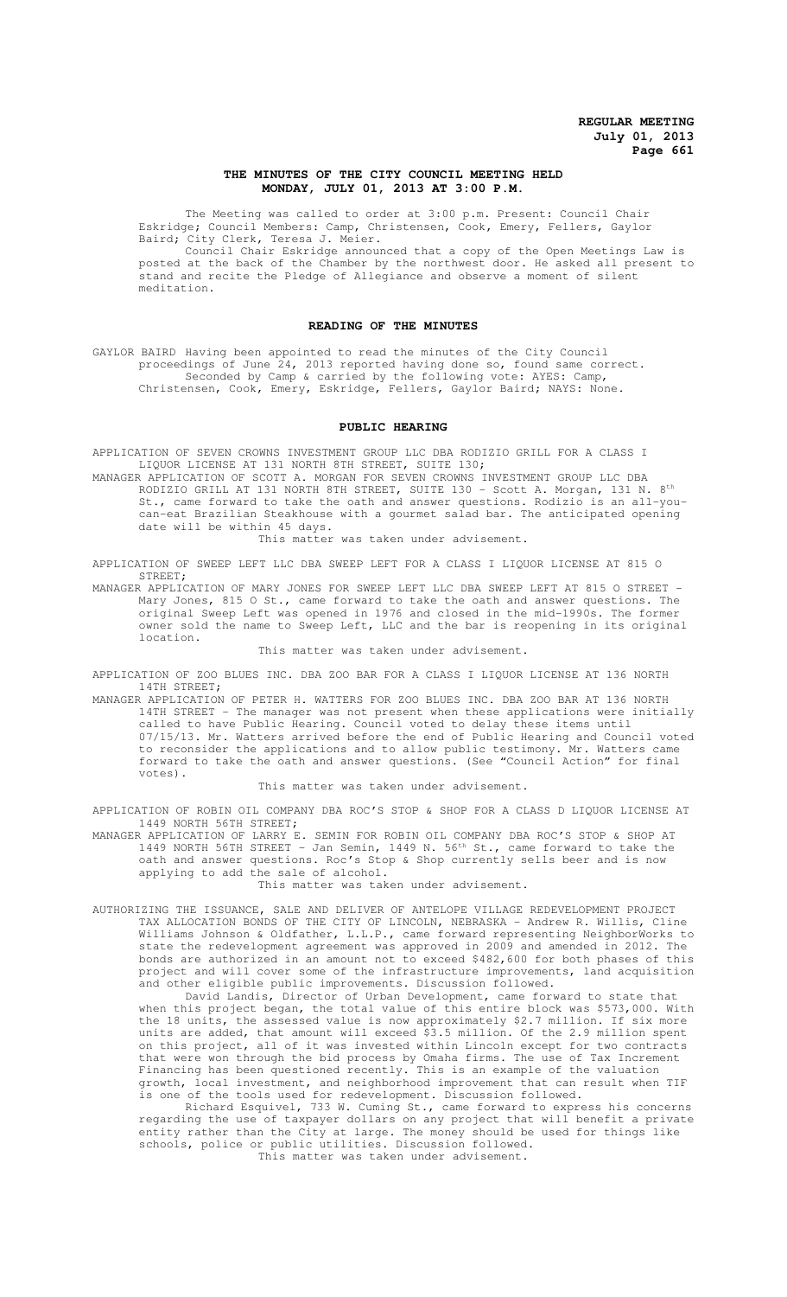### **THE MINUTES OF THE CITY COUNCIL MEETING HELD MONDAY, JULY 01, 2013 AT 3:00 P.M.**

The Meeting was called to order at 3:00 p.m. Present: Council Chair Eskridge; Council Members: Camp, Christensen, Cook, Emery, Fellers, Gaylor Baird; City Clerk, Teresa J. Meier.

Council Chair Eskridge announced that a copy of the Open Meetings Law is posted at the back of the Chamber by the northwest door. He asked all present to stand and recite the Pledge of Allegiance and observe a moment of silent meditation.

### **READING OF THE MINUTES**

GAYLOR BAIRD Having been appointed to read the minutes of the City Council proceedings of June 24, 2013 reported having done so, found same correct. Seconded by Camp & carried by the following vote: AYES: Camp, Christensen, Cook, Emery, Eskridge, Fellers, Gaylor Baird; NAYS: None.

#### **PUBLIC HEARING**

APPLICATION OF SEVEN CROWNS INVESTMENT GROUP LLC DBA RODIZIO GRILL FOR A CLASS I LIQUOR LICENSE AT 131 NORTH 8TH STREET, SUITE 130;

MANAGER APPLICATION OF SCOTT A. MORGAN FOR SEVEN CROWNS INVESTMENT GROUP LLC DBA RODIZIO GRILL AT 131 NORTH 8TH STREET, SUITE 130 - Scott A. Morgan, 131 N. 8th St., came forward to take the oath and answer questions. Rodizio is an all-youcan-eat Brazilian Steakhouse with a gourmet salad bar. The anticipated opening date will be within 45 days.

This matter was taken under advisement.

APPLICATION OF SWEEP LEFT LLC DBA SWEEP LEFT FOR A CLASS I LIQUOR LICENSE AT 815 O STREET;

MANAGER APPLICATION OF MARY JONES FOR SWEEP LEFT LLC DBA SWEEP LEFT AT 815 O STREET - Mary Jones, 815 O St., came forward to take the oath and answer questions. The original Sweep Left was opened in 1976 and closed in the mid-1990s. The former owner sold the name to Sweep Left, LLC and the bar is reopening in its original location.

#### This matter was taken under advisement.

APPLICATION OF ZOO BLUES INC. DBA ZOO BAR FOR A CLASS I LIQUOR LICENSE AT 136 NORTH 14TH STREET;

MANAGER APPLICATION OF PETER H. WATTERS FOR ZOO BLUES INC. DBA ZOO BAR AT 136 NORTH 14TH STREET - The manager was not present when these applications were initially called to have Public Hearing. Council voted to delay these items until 07/15/13. Mr. Watters arrived before the end of Public Hearing and Council voted to reconsider the applications and to allow public testimony. Mr. Watters came forward to take the oath and answer questions. (See "Council Action" for final votes).

This matter was taken under advisement.

APPLICATION OF ROBIN OIL COMPANY DBA ROC'S STOP & SHOP FOR A CLASS D LIQUOR LICENSE AT 1449 NORTH 56TH STREET;

MANAGER APPLICATION OF LARRY E. SEMIN FOR ROBIN OIL COMPANY DBA ROC'S STOP & SHOP AT 1449 NORTH 56TH STREET - Jan Semin, 1449 N. 56th St., came forward to take the oath and answer questions. Roc's Stop & Shop currently sells beer and is now applying to add the sale of alcohol.

This matter was taken under advisement.

AUTHORIZING THE ISSUANCE, SALE AND DELIVER OF ANTELOPE VILLAGE REDEVELOPMENT PROJECT TAX ALLOCATION BONDS OF THE CITY OF LINCOLN, NEBRASKA - Andrew R. Willis, Cline Williams Johnson & Oldfather, L.L.P., came forward representing NeighborWorks to state the redevelopment agreement was approved in 2009 and amended in 2012. The bonds are authorized in an amount not to exceed \$482,600 for both phases of this project and will cover some of the infrastructure improvements, land acquisition and other eligible public improvements. Discussion followed.

David Landis, Director of Urban Development, came forward to state that when this project began, the total value of this entire block was \$573,000. With the 18 units, the assessed value is now approximately \$2.7 million. If six more units are added, that amount will exceed \$3.5 million. Of the 2.9 million spent on this project, all of it was invested within Lincoln except for two contracts that were won through the bid process by Omaha firms. The use of Tax Increment Financing has been questioned recently. This is an example of the valuation growth, local investment, and neighborhood improvement that can result when TIF is one of the tools used for redevelopment. Discussion followed.

Richard Esquivel, 733 W. Cuming St., came forward to express his concerns regarding the use of taxpayer dollars on any project that will benefit a private entity rather than the City at large. The money should be used for things like schools, police or public utilities. Discussion followed. This matter was taken under advisement.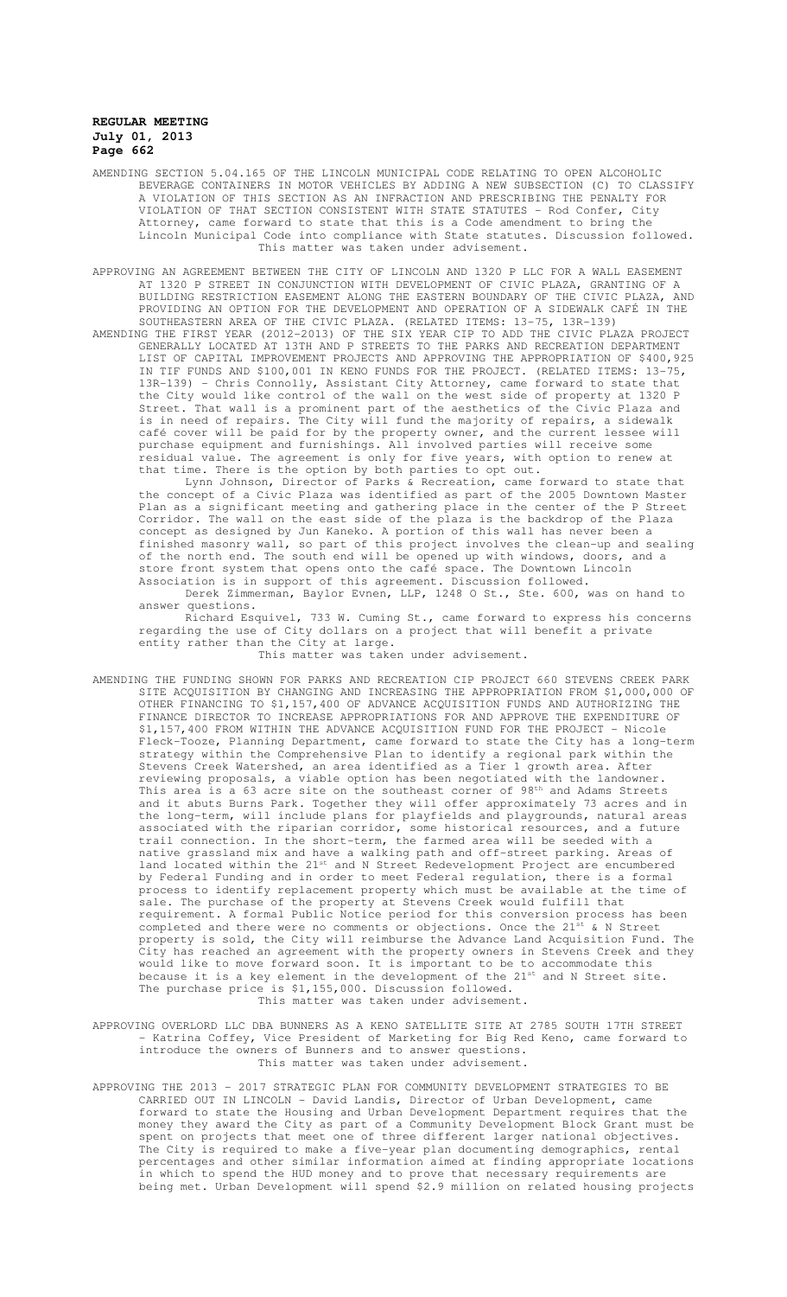- AMENDING SECTION 5.04.165 OF THE LINCOLN MUNICIPAL CODE RELATING TO OPEN ALCOHOLIC BEVERAGE CONTAINERS IN MOTOR VEHICLES BY ADDING A NEW SUBSECTION (C) TO CLASSIFY A VIOLATION OF THIS SECTION AS AN INFRACTION AND PRESCRIBING THE PENALTY FOR VIOLATION OF THAT SECTION CONSISTENT WITH STATE STATUTES - Rod Confer, City Attorney, came forward to state that this is a Code amendment to bring the Lincoln Municipal Code into compliance with State statutes. Discussion followed. This matter was taken under advisement.
- APPROVING AN AGREEMENT BETWEEN THE CITY OF LINCOLN AND 1320 P LLC FOR A WALL EASEMENT AT 1320 P STREET IN CONJUNCTION WITH DEVELOPMENT OF CIVIC PLAZA, GRANTING OF A BUILDING RESTRICTION EASEMENT ALONG THE EASTERN BOUNDARY OF THE CIVIC PLAZA, AND PROVIDING AN OPTION FOR THE DEVELOPMENT AND OPERATION OF A SIDEWALK CAFÉ IN THE SOUTHEASTERN AREA OF THE CIVIC PLAZA. (RELATED ITEMS: 13-75, 13R-139)
- AMENDING THE FIRST YEAR (2012-2013) OF THE SIX YEAR CIP TO ADD THE CIVIC PLAZA PROJECT GENERALLY LOCATED AT 13TH AND P STREETS TO THE PARKS AND RECREATION DEPARTMENT LIST OF CAPITAL IMPROVEMENT PROJECTS AND APPROVING THE APPROPRIATION OF \$400,925 IN TIF FUNDS AND \$100,001 IN KENO FUNDS FOR THE PROJECT. (RELATED ITEMS: 13-75, 13R-139) - Chris Connolly, Assistant City Attorney, came forward to state that the City would like control of the wall on the west side of property at 1320 P Street. That wall is a prominent part of the aesthetics of the Civic Plaza and is in need of repairs. The City will fund the majority of repairs, a sidewalk café cover will be paid for by the property owner, and the current lessee will purchase equipment and furnishings. All involved parties will receive some residual value. The agreement is only for five years, with option to renew at that time. There is the option by both parties to opt out.
	- Lynn Johnson, Director of Parks & Recreation, came forward to state that the concept of a Civic Plaza was identified as part of the 2005 Downtown Master Plan as a significant meeting and gathering place in the center of the P Street Corridor. The wall on the east side of the plaza is the backdrop of the Plaza concept as designed by Jun Kaneko. A portion of this wall has never been a finished masonry wall, so part of this project involves the clean-up and sealing of the north end. The south end will be opened up with windows, doors, and a store front system that opens onto the café space. The Downtown Lincoln Association is in support of this agreement. Discussion followed.
	- Derek Zimmerman, Baylor Evnen, LLP, 1248 O St., Ste. 600, was on hand to answer questions.
	- Richard Esquivel, 733 W. Cuming St., came forward to express his concerns regarding the use of City dollars on a project that will benefit a private entity rather than the City at large.
		- This matter was taken under advisement.
- AMENDING THE FUNDING SHOWN FOR PARKS AND RECREATION CIP PROJECT 660 STEVENS CREEK PARK SITE ACQUISITION BY CHANGING AND INCREASING THE APPROPRIATION FROM \$1,000,000 OF OTHER FINANCING TO \$1,157,400 OF ADVANCE ACQUISITION FUNDS AND AUTHORIZING THE FINANCE DIRECTOR TO INCREASE APPROPRIATIONS FOR AND APPROVE THE EXPENDITURE OF \$1,157,400 FROM WITHIN THE ADVANCE ACQUISITION FUND FOR THE PROJECT - Nicole Fleck-Tooze, Planning Department, came forward to state the City has a long-term strategy within the Comprehensive Plan to identify a regional park within the Stevens Creek Watershed, an area identified as a Tier 1 growth area. After reviewing proposals, a viable option has been negotiated with the landowner. This area is a 63 acre site on the southeast corner of 98<sup>th</sup> and Adams Streets and it abuts Burns Park. Together they will offer approximately 73 acres and in the long-term, will include plans for playfields and playgrounds, natural areas associated with the riparian corridor, some historical resources, and a future trail connection. In the short-term, the farmed area will be seeded with a native grassland mix and have a walking path and off-street parking. Areas of land located within the 21<sup>st</sup> and N Street Redevelopment Project are encumbered by Federal Funding and in order to meet Federal regulation, there is a formal process to identify replacement property which must be available at the time of sale. The purchase of the property at Stevens Creek would fulfill that requirement. A formal Public Notice period for this conversion process has been completed and there were no comments or objections. Once the  $21^{st}$  & N Street property is sold, the City will reimburse the Advance Land Acquisition Fund. The City has reached an agreement with the property owners in Stevens Creek and they would like to move forward soon. It is important to be to accommodate this because it is a key element in the development of the  $21^{st}$  and N Street site. The purchase price is \$1,155,000. Discussion followed. This matter was taken under advisement.
- APPROVING OVERLORD LLC DBA BUNNERS AS A KENO SATELLITE SITE AT 2785 SOUTH 17TH STREET Katrina Coffey, Vice President of Marketing for Big Red Keno, came forward to introduce the owners of Bunners and to answer questions. This matter was taken under advisement.
- APPROVING THE 2013 2017 STRATEGIC PLAN FOR COMMUNITY DEVELOPMENT STRATEGIES TO BE CARRIED OUT IN LINCOLN - David Landis, Director of Urban Development, came forward to state the Housing and Urban Development Department requires that the money they award the City as part of a Community Development Block Grant must be spent on projects that meet one of three different larger national objectives. The City is required to make a five-year plan documenting demographics, rental percentages and other similar information aimed at finding appropriate locations in which to spend the HUD money and to prove that necessary requirements are being met. Urban Development will spend \$2.9 million on related housing projects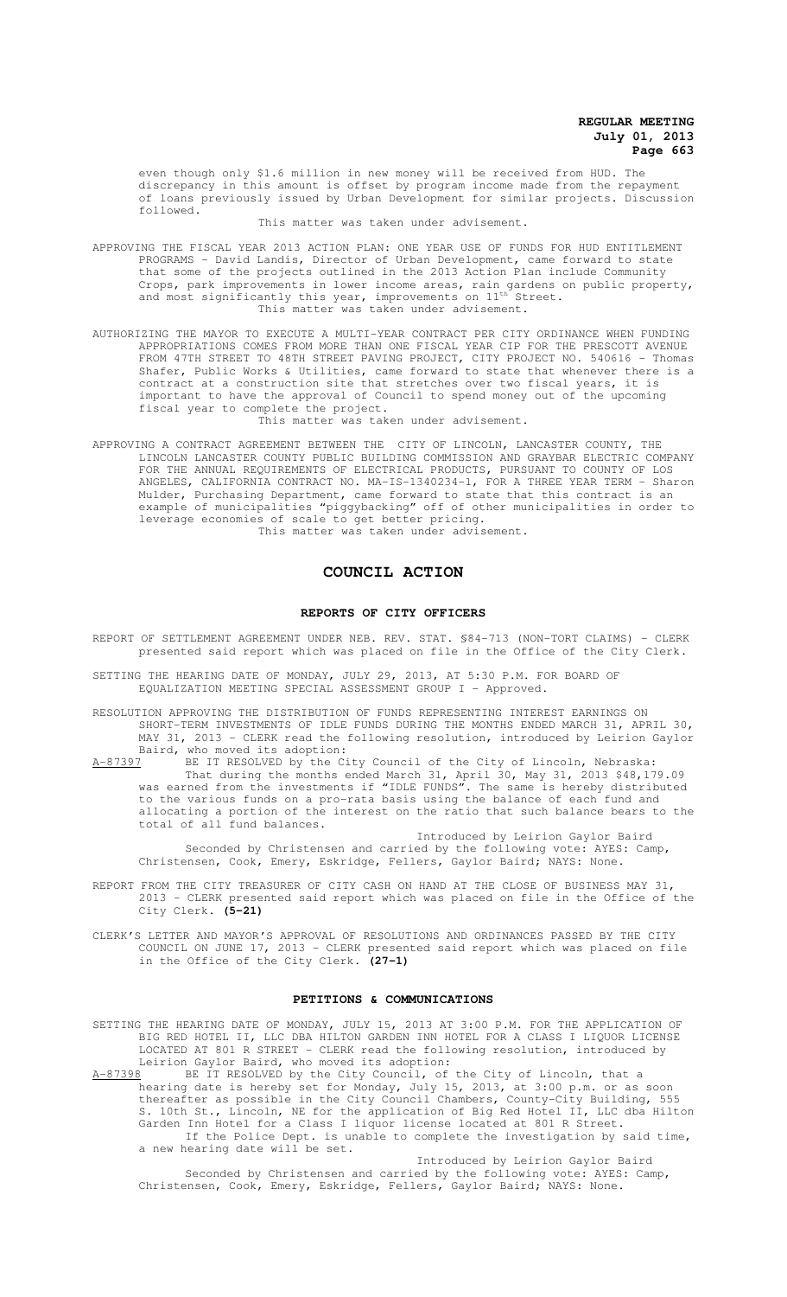even though only \$1.6 million in new money will be received from HUD. The discrepancy in this amount is offset by program income made from the repayment of loans previously issued by Urban Development for similar projects. Discussion followed.

This matter was taken under advisement.

- APPROVING THE FISCAL YEAR 2013 ACTION PLAN: ONE YEAR USE OF FUNDS FOR HUD ENTITLEMENT PROGRAMS - David Landis, Director of Urban Development, came forward to state that some of the projects outlined in the 2013 Action Plan include Community Crops, park improvements in lower income areas, rain gardens on public property, and most significantly this year, improvements on  $11^{\text{th}}$  Street. This matter was taken under advisement.
- AUTHORIZING THE MAYOR TO EXECUTE A MULTI-YEAR CONTRACT PER CITY ORDINANCE WHEN FUNDING APPROPRIATIONS COMES FROM MORE THAN ONE FISCAL YEAR CIP FOR THE PRESCOTT AVENUE FROM 47TH STREET TO 48TH STREET PAVING PROJECT, CITY PROJECT NO. 540616 - Thomas Shafer, Public Works & Utilities, came forward to state that whenever there is a contract at a construction site that stretches over two fiscal years, it is important to have the approval of Council to spend money out of the upcoming fiscal year to complete the project.

This matter was taken under advisement.

APPROVING A CONTRACT AGREEMENT BETWEEN THE CITY OF LINCOLN, LANCASTER COUNTY, THE LINCOLN LANCASTER COUNTY PUBLIC BUILDING COMMISSION AND GRAYBAR ELECTRIC COMPANY FOR THE ANNUAL REQUIREMENTS OF ELECTRICAL PRODUCTS, PURSUANT TO COUNTY OF LOS ANGELES, CALIFORNIA CONTRACT NO. MA-IS-1340234-1, FOR A THREE YEAR TERM - Sharon Mulder, Purchasing Department, came forward to state that this contract is an example of municipalities "piggybacking" off of other municipalities in order to leverage economies of scale to get better pricing.

This matter was taken under advisement.

# **COUNCIL ACTION**

#### **REPORTS OF CITY OFFICERS**

- REPORT OF SETTLEMENT AGREEMENT UNDER NEB. REV. STAT. §84-713 (NON-TORT CLAIMS) CLERK presented said report which was placed on file in the Office of the City Clerk.
- SETTING THE HEARING DATE OF MONDAY, JULY 29, 2013, AT 5:30 P.M. FOR BOARD OF EQUALIZATION MEETING SPECIAL ASSESSMENT GROUP I - Approved.
- RESOLUTION APPROVING THE DISTRIBUTION OF FUNDS REPRESENTING INTEREST EARNINGS ON SHORT-TERM INVESTMENTS OF IDLE FUNDS DURING THE MONTHS ENDED MARCH 31, APRIL 30, MAY 31, 2013 - CLERK read the following resolution, introduced by Leirion Gaylor Baird, who moved its adoption:<br>A-87397 BE IT RESOLVED by the Ci
- A-87397 BE IT RESOLVED by the City Council of the City of Lincoln, Nebraska: That during the months ended March 31, April 30, May 31, 2013 \$48,179.09 was earned from the investments if "IDLE FUNDS". The same is hereby distributed to the various funds on a pro-rata basis using the balance of each fund and allocating a portion of the interest on the ratio that such balance bears to the total of all fund balances.
	- Introduced by Leirion Gaylor Baird Seconded by Christensen and carried by the following vote: AYES: Camp, Christensen, Cook, Emery, Eskridge, Fellers, Gaylor Baird; NAYS: None.
- REPORT FROM THE CITY TREASURER OF CITY CASH ON HAND AT THE CLOSE OF BUSINESS MAY 31, 2013 - CLERK presented said report which was placed on file in the Office of the City Clerk. **(5-21)**
- CLERK'S LETTER AND MAYOR'S APPROVAL OF RESOLUTIONS AND ORDINANCES PASSED BY THE CITY COUNCIL ON JUNE 17, 2013 - CLERK presented said report which was placed on file in the Office of the City Clerk. **(27-1)**

#### **PETITIONS & COMMUNICATIONS**

SETTING THE HEARING DATE OF MONDAY, JULY 15, 2013 AT 3:00 P.M. FOR THE APPLICATION OF BIG RED HOTEL II, LLC DBA HILTON GARDEN INN HOTEL FOR A CLASS I LIQUOR LICENSE LOCATED AT 801 R STREET - CLERK read the following resolution, introduced by Leirion Gaylor Baird, who moved its adoption:

A-87398 BE IT RESOLVED by the City Council, of the City of Lincoln, that a hearing date is hereby set for Monday, July 15, 2013, at 3:00 p.m. or as soon thereafter as possible in the City Council Chambers, County-City Building, 555 S. 10th St., Lincoln, NE for the application of Big Red Hotel II, LLC dba Hilton Garden Inn Hotel for a Class I liquor license located at 801 R Street. If the Police Dept. is unable to complete the investigation by said time, a new hearing date will be set.

Introduced by Leirion Gaylor Baird Seconded by Christensen and carried by the following vote: AYES: Camp, Christensen, Cook, Emery, Eskridge, Fellers, Gaylor Baird; NAYS: None.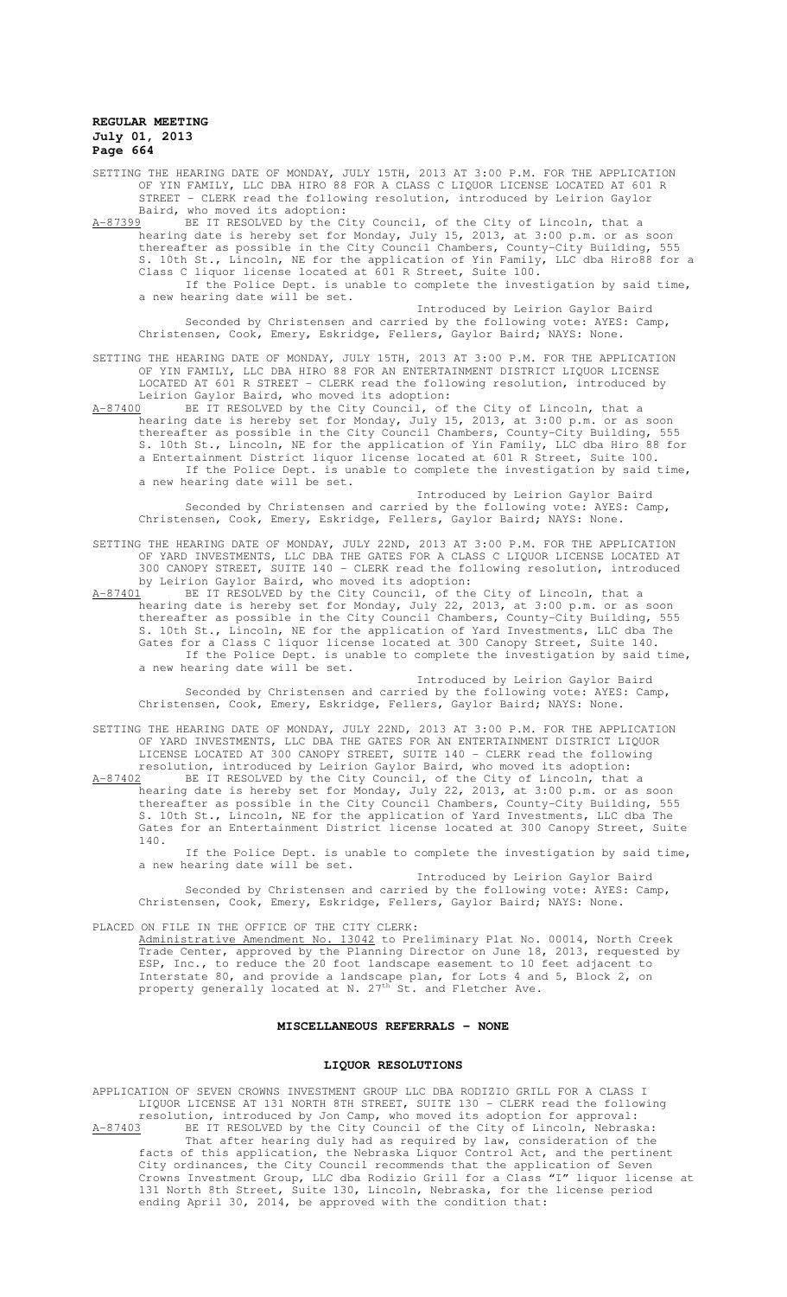SETTING THE HEARING DATE OF MONDAY, JULY 15TH, 2013 AT 3:00 P.M. FOR THE APPLICATION OF YIN FAMILY, LLC DBA HIRO 88 FOR A CLASS C LIQUOR LICENSE LOCATED AT 601 R STREET - CLERK read the following resolution, introduced by Leirion Gaylor Baird, who moved its adoption:

A-87399 BE IT RESOLVED by the City Council, of the City of Lincoln, that a hearing date is hereby set for Monday, July 15, 2013, at 3:00 p.m. or as soon thereafter as possible in the City Council Chambers, County-City Building, 555 S. 10th St., Lincoln, NE for the application of Yin Family, LLC dba Hiro88 for a Class C liquor license located at 601 R Street, Suite 100. If the Police Dept. is unable to complete the investigation by said time,

a new hearing date will be set. Introduced by Leirion Gaylor Baird

Seconded by Christensen and carried by the following vote: AYES: Camp, Christensen, Cook, Emery, Eskridge, Fellers, Gaylor Baird; NAYS: None.

SETTING THE HEARING DATE OF MONDAY, JULY 15TH, 2013 AT 3:00 P.M. FOR THE APPLICATION OF YIN FAMILY, LLC DBA HIRO 88 FOR AN ENTERTAINMENT DISTRICT LIQUOR LICENSE LOCATED AT 601 R STREET - CLERK read the following resolution, introduced by Leirion Gaylor Baird, who moved its adoption:

A-87400 BE IT RESOLVED by the City Council, of the City of Lincoln, that a hearing date is hereby set for Monday, July 15, 2013, at 3:00 p.m. or as soon thereafter as possible in the City Council Chambers, County-City Building, 555 S. 10th St., Lincoln, NE for the application of Yin Family, LLC dba Hiro 88 for a Entertainment District liquor license located at 601 R Street, Suite 100. If the Police Dept. is unable to complete the investigation by said time, a new hearing date will be set.

Introduced by Leirion Gaylor Baird Seconded by Christensen and carried by the following vote: AYES: Camp, Christensen, Cook, Emery, Eskridge, Fellers, Gaylor Baird; NAYS: None.

#### SETTING THE HEARING DATE OF MONDAY, JULY 22ND, 2013 AT 3:00 P.M. FOR THE APPLICATION OF YARD INVESTMENTS, LLC DBA THE GATES FOR A CLASS C LIQUOR LICENSE LOCATED AT 300 CANOPY STREET, SUITE 140 - CLERK read the following resolution, introduced by Leirion Gaylor Baird, who moved its adoption:

A-87401 BE IT RESOLVED by the City Council, of the City of Lincoln, that a hearing date is hereby set for Monday, July 22, 2013, at 3:00 p.m. or as soon thereafter as possible in the City Council Chambers, County-City Building, 555 S. 10th St., Lincoln, NE for the application of Yard Investments, LLC dba The Gates for a Class C liquor license located at 300 Canopy Street, Suite 140. If the Police Dept. is unable to complete the investigation by said time, a new hearing date will be set.

Introduced by Leirion Gaylor Baird Seconded by Christensen and carried by the following vote: AYES: Camp, Christensen, Cook, Emery, Eskridge, Fellers, Gaylor Baird; NAYS: None.

SETTING THE HEARING DATE OF MONDAY, JULY 22ND, 2013 AT 3:00 P.M. FOR THE APPLICATION OF YARD INVESTMENTS, LLC DBA THE GATES FOR AN ENTERTAINMENT DISTRICT LIQUOR LICENSE LOCATED AT 300 CANOPY STREET, SUITE 140 - CLERK read the following

resolution, introduced by Leirion Gaylor Baird, who moved its adoption: A-87402 BE IT RESOLVED by the City Council, of the City of Lincoln, that a hearing date is hereby set for Monday, July 22, 2013, at 3:00 p.m. or as soon thereafter as possible in the City Council Chambers, County-City Building, 555 S. 10th St., Lincoln, NE for the application of Yard Investments, LLC dba The Gates for an Entertainment District license located at 300 Canopy Street, Suite 140.

If the Police Dept. is unable to complete the investigation by said time, a new hearing date will be set.

Introduced by Leirion Gaylor Baird Seconded by Christensen and carried by the following vote: AYES: Camp, Christensen, Cook, Emery, Eskridge, Fellers, Gaylor Baird; NAYS: None.

PLACED ON FILE IN THE OFFICE OF THE CITY CLERK:

Administrative Amendment No. 13042 to Preliminary Plat No. 00014, North Creek Trade Center, approved by the Planning Director on June 18, 2013, requested by ESP, Inc., to reduce the 20 foot landscape easement to 10 feet adjacent to Interstate 80, and provide a landscape plan, for Lots 4 and 5, Block 2, on property generally located at N. 27<sup>th</sup> St. and Fletcher Ave.

## **MISCELLANEOUS REFERRALS - NONE**

#### **LIQUOR RESOLUTIONS**

APPLICATION OF SEVEN CROWNS INVESTMENT GROUP LLC DBA RODIZIO GRILL FOR A CLASS I LIQUOR LICENSE AT 131 NORTH 8TH STREET, SUITE 130 - CLERK read the following resolution, introduced by Jon Camp, who moved its adoption for approval:<br>A-87403 BE IT RESOLVED by the City Council of the City of Lincoln, Nebrask BE IT RESOLVED by the City Council of the City of Lincoln, Nebraska: That after hearing duly had as required by law, consideration of the facts of this application, the Nebraska Liquor Control Act, and the pertinent City ordinances, the City Council recommends that the application of Seven Crowns Investment Group, LLC dba Rodizio Grill for a Class "I" liquor license at 131 North 8th Street, Suite 130, Lincoln, Nebraska, for the license period ending April 30, 2014, be approved with the condition that: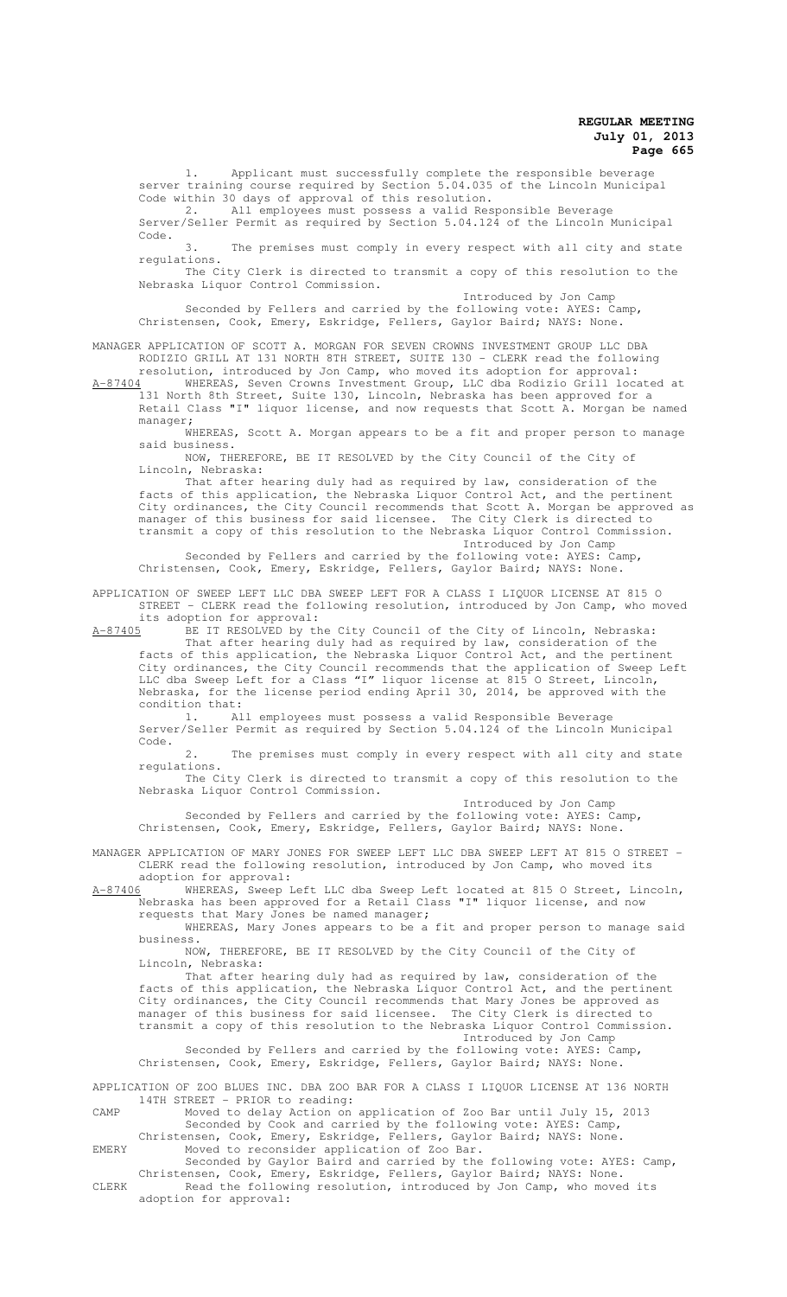1. Applicant must successfully complete the responsible beverage server training course required by Section 5.04.035 of the Lincoln Municipal Code within 30 days of approval of this resolution.

2. All employees must possess a valid Responsible Beverage Server/Seller Permit as required by Section 5.04.124 of the Lincoln Municipal Code.

3. The premises must comply in every respect with all city and state regulations.

The City Clerk is directed to transmit a copy of this resolution to the Nebraska Liquor Control Commission. Introduced by Jon Camp

Seconded by Fellers and carried by the following vote: AYES: Camp, Christensen, Cook, Emery, Eskridge, Fellers, Gaylor Baird; NAYS: None.

MANAGER APPLICATION OF SCOTT A. MORGAN FOR SEVEN CROWNS INVESTMENT GROUP LLC DBA RODIZIO GRILL AT 131 NORTH 8TH STREET, SUITE 130 - CLERK read the following

resolution, introduced by Jon Camp, who moved its adoption for approval:<br>A-87404 WHEREAS, Seven Crowns Investment Group, LLC dba Rodizio Grill loca WHEREAS, Seven Crowns Investment Group, LLC dba Rodizio Grill located at 131 North 8th Street, Suite 130, Lincoln, Nebraska has been approved for a Retail Class "I" liquor license, and now requests that Scott A. Morgan be named manager;

WHEREAS, Scott A. Morgan appears to be a fit and proper person to manage said business.

NOW, THEREFORE, BE IT RESOLVED by the City Council of the City of Lincoln, Nebraska:

That after hearing duly had as required by law, consideration of the facts of this application, the Nebraska Liquor Control Act, and the pertinent City ordinances, the City Council recommends that Scott A. Morgan be approved as manager of this business for said licensee. The City Clerk is directed to transmit a copy of this resolution to the Nebraska Liquor Control Commission. Introduced by Jon Camp

Seconded by Fellers and carried by the following vote: AYES: Camp, Christensen, Cook, Emery, Eskridge, Fellers, Gaylor Baird; NAYS: None.

APPLICATION OF SWEEP LEFT LLC DBA SWEEP LEFT FOR A CLASS I LIQUOR LICENSE AT 815 O STREET - CLERK read the following resolution, introduced by Jon Camp, who moved

its adoption for approval:<br>A-87405 BE IT RESOLVED by th BE IT RESOLVED by the City Council of the City of Lincoln, Nebraska: That after hearing duly had as required by law, consideration of the

facts of this application, the Nebraska Liquor Control Act, and the pertinent City ordinances, the City Council recommends that the application of Sweep Left LLC dba Sweep Left for a Class "I" liquor license at 815 O Street, Lincoln, Nebraska, for the license period ending April 30, 2014, be approved with the condition that:

1. All employees must possess a valid Responsible Beverage Server/Seller Permit as required by Section 5.04.124 of the Lincoln Municipal Code.

2. The premises must comply in every respect with all city and state regulations.

The City Clerk is directed to transmit a copy of this resolution to the Nebraska Liquor Control Commission.

Introduced by Jon Camp Seconded by Fellers and carried by the following vote: AYES: Camp, Christensen, Cook, Emery, Eskridge, Fellers, Gaylor Baird; NAYS: None.

MANAGER APPLICATION OF MARY JONES FOR SWEEP LEFT LLC DBA SWEEP LEFT AT 815 O STREET - CLERK read the following resolution, introduced by Jon Camp, who moved its adoption for approval:

A-87406 WHEREAS, Sweep Left LLC dba Sweep Left located at 815 O Street, Lincoln, Nebraska has been approved for a Retail Class "I" liquor license, and now requests that Mary Jones be named manager;

WHEREAS, Mary Jones appears to be a fit and proper person to manage said business.

NOW, THEREFORE, BE IT RESOLVED by the City Council of the City of Lincoln, Nebraska:

That after hearing duly had as required by law, consideration of the facts of this application, the Nebraska Liquor Control Act, and the pertinent City ordinances, the City Council recommends that Mary Jones be approved as manager of this business for said licensee. The City Clerk is directed to transmit a copy of this resolution to the Nebraska Liquor Control Commission. Introduced by Jon Camp

Seconded by Fellers and carried by the following vote: AYES: Camp, Christensen, Cook, Emery, Eskridge, Fellers, Gaylor Baird; NAYS: None.

APPLICATION OF ZOO BLUES INC. DBA ZOO BAR FOR A CLASS I LIQUOR LICENSE AT 136 NORTH 14TH STREET - PRIOR to reading:

CAMP Moved to delay Action on application of Zoo Bar until July 15, 2013 Seconded by Cook and carried by the following vote: AYES: Camp, Christensen, Cook, Emery, Eskridge, Fellers, Gaylor Baird; NAYS: None. EMERY Moved to reconsider application of Zoo Bar.

Seconded by Gaylor Baird and carried by the following vote: AYES: Camp, Christensen, Cook, Emery, Eskridge, Fellers, Gaylor Baird; NAYS: None.

CLERK Read the following resolution, introduced by Jon Camp, who moved its adoption for approval: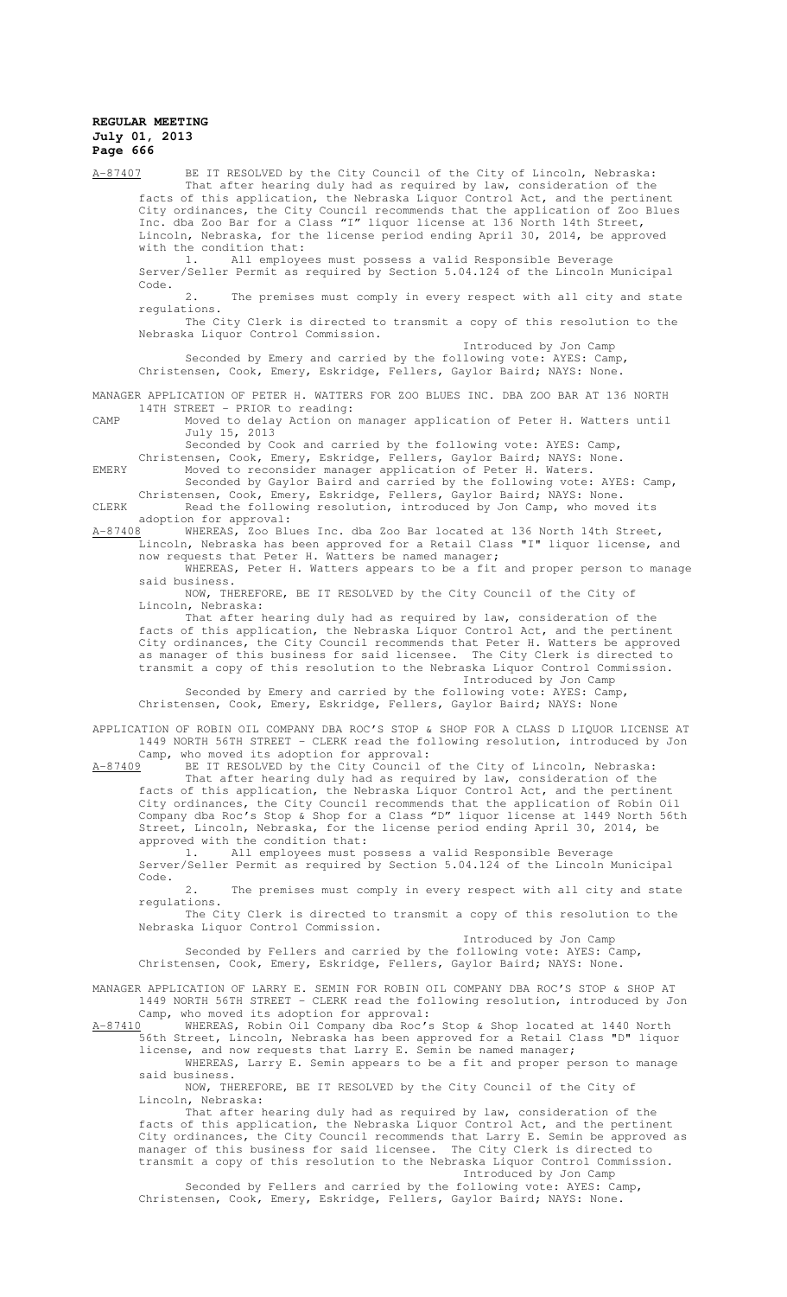A-87407 BE IT RESOLVED by the City Council of the City of Lincoln, Nebraska: That after hearing duly had as required by law, consideration of the facts of this application, the Nebraska Liquor Control Act, and the pertinent City ordinances, the City Council recommends that the application of Zoo Blues Inc. dba Zoo Bar for a Class "I" liquor license at 136 North 14th Street, Lincoln, Nebraska, for the license period ending April 30, 2014, be approved with the condition that:

1. All employees must possess a valid Responsible Beverage Server/Seller Permit as required by Section 5.04.124 of the Lincoln Municipal Code.

2. The premises must comply in every respect with all city and state regulations.

The City Clerk is directed to transmit a copy of this resolution to the Nebraska Liquor Control Commission.

Introduced by Jon Camp Seconded by Emery and carried by the following vote: AYES: Camp, Christensen, Cook, Emery, Eskridge, Fellers, Gaylor Baird; NAYS: None.

MANAGER APPLICATION OF PETER H. WATTERS FOR ZOO BLUES INC. DBA ZOO BAR AT 136 NORTH 14TH STREET - PRIOR to reading:

CAMP Moved to delay Action on manager application of Peter H. Watters until

July 15, 2013 Seconded by Cook and carried by the following vote: AYES: Camp,

Christensen, Cook, Emery, Eskridge, Fellers, Gaylor Baird; NAYS: None. EMERY Moved to reconsider manager application of Peter H. Waters.

Seconded by Gaylor Baird and carried by the following vote: AYES: Camp, Christensen, Cook, Emery, Eskridge, Fellers, Gaylor Baird; NAYS: None. CLERK Read the following resolution, introduced by Jon Camp, who moved its

adoption for approval:<br>A-87408 WHEREAS, Zoo Blu

WHEREAS, Zoo Blues Inc. dba Zoo Bar located at 136 North 14th Street, Lincoln, Nebraska has been approved for a Retail Class "I" liquor license, and now requests that Peter H. Watters be named manager;

WHEREAS, Peter H. Watters appears to be a fit and proper person to manage said business.

NOW, THEREFORE, BE IT RESOLVED by the City Council of the City of Lincoln, Nebraska:

That after hearing duly had as required by law, consideration of the facts of this application, the Nebraska Liquor Control Act, and the pertinent City ordinances, the City Council recommends that Peter H. Watters be approved as manager of this business for said licensee. The City Clerk is directed to transmit a copy of this resolution to the Nebraska Liquor Control Commission. Introduced by Jon Camp

Seconded by Emery and carried by the following vote: AYES: Camp, Christensen, Cook, Emery, Eskridge, Fellers, Gaylor Baird; NAYS: None

APPLICATION OF ROBIN OIL COMPANY DBA ROC'S STOP & SHOP FOR A CLASS D LIQUOR LICENSE AT 1449 NORTH 56TH STREET - CLERK read the following resolution, introduced by Jon Camp, who moved its adoption for approval:

A-87409 BE IT RESOLVED by the City Council of the City of Lincoln, Nebraska:

That after hearing duly had as required by law, consideration of the facts of this application, the Nebraska Liquor Control Act, and the pertinent City ordinances, the City Council recommends that the application of Robin Oil Company dba Roc's Stop & Shop for a Class "D" liquor license at 1449 North 56th Street, Lincoln, Nebraska, for the license period ending April 30, 2014, be approved with the condition that:

1. All employees must possess a valid Responsible Beverage Server/Seller Permit as required by Section 5.04.124 of the Lincoln Municipal Code.

2. The premises must comply in every respect with all city and state regulations.

The City Clerk is directed to transmit a copy of this resolution to the Nebraska Liquor Control Commission.

Introduced by Jon Camp

Seconded by Fellers and carried by the following vote: AYES: Camp, Christensen, Cook, Emery, Eskridge, Fellers, Gaylor Baird; NAYS: None.

MANAGER APPLICATION OF LARRY E. SEMIN FOR ROBIN OIL COMPANY DBA ROC'S STOP & SHOP AT 1449 NORTH 56TH STREET - CLERK read the following resolution, introduced by Jon Camp, who moved its adoption for approval:

A-87410 WHEREAS, Robin Oil Company dba Roc's Stop & Shop located at 1440 North 56th Street, Lincoln, Nebraska has been approved for a Retail Class "D" liquor license, and now requests that Larry E. Semin be named manager;

WHEREAS, Larry E. Semin appears to be a fit and proper person to manage said business.

NOW, THEREFORE, BE IT RESOLVED by the City Council of the City of Lincoln, Nebraska:

That after hearing duly had as required by law, consideration of the facts of this application, the Nebraska Liquor Control Act, and the pertinent City ordinances, the City Council recommends that Larry E. Semin be approved as manager of this business for said licensee. The City Clerk is directed to transmit a copy of this resolution to the Nebraska Liquor Control Commission. Introduced by Jon Camp

Seconded by Fellers and carried by the following vote: AYES: Camp, Christensen, Cook, Emery, Eskridge, Fellers, Gaylor Baird; NAYS: None.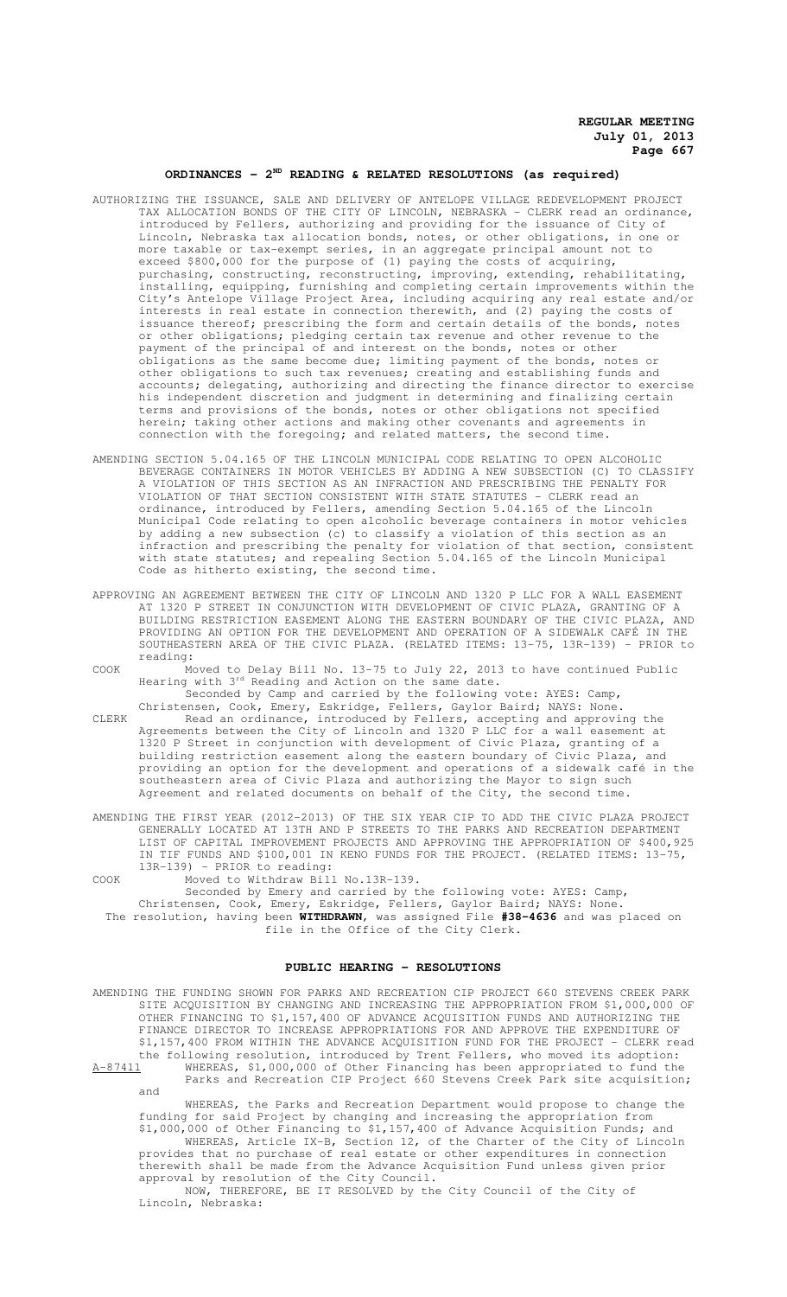## **ORDINANCES - 2ND READING & RELATED RESOLUTIONS (as required)**

- AUTHORIZING THE ISSUANCE, SALE AND DELIVERY OF ANTELOPE VILLAGE REDEVELOPMENT PROJECT TAX ALLOCATION BONDS OF THE CITY OF LINCOLN, NEBRASKA - CLERK read an ordinance, introduced by Fellers, authorizing and providing for the issuance of City of Lincoln, Nebraska tax allocation bonds, notes, or other obligations, in one or more taxable or tax-exempt series, in an aggregate principal amount not to exceed \$800,000 for the purpose of (1) paying the costs of acquiring, purchasing, constructing, reconstructing, improving, extending, rehabilitating, installing, equipping, furnishing and completing certain improvements within the City's Antelope Village Project Area, including acquiring any real estate and/or interests in real estate in connection therewith, and (2) paying the costs of issuance thereof; prescribing the form and certain details of the bonds, notes or other obligations; pledging certain tax revenue and other revenue to the payment of the principal of and interest on the bonds, notes or other obligations as the same become due; limiting payment of the bonds, notes or other obligations to such tax revenues; creating and establishing funds and accounts; delegating, authorizing and directing the finance director to exercise his independent discretion and judgment in determining and finalizing certain terms and provisions of the bonds, notes or other obligations not specified herein; taking other actions and making other covenants and agreements in connection with the foregoing; and related matters, the second time.
- AMENDING SECTION 5.04.165 OF THE LINCOLN MUNICIPAL CODE RELATING TO OPEN ALCOHOLIC BEVERAGE CONTAINERS IN MOTOR VEHICLES BY ADDING A NEW SUBSECTION (C) TO CLASSIFY A VIOLATION OF THIS SECTION AS AN INFRACTION AND PRESCRIBING THE PENALTY FOR VIOLATION OF THAT SECTION CONSISTENT WITH STATE STATUTES - CLERK read an ordinance, introduced by Fellers, amending Section 5.04.165 of the Lincoln Municipal Code relating to open alcoholic beverage containers in motor vehicles by adding a new subsection (c) to classify a violation of this section as an infraction and prescribing the penalty for violation of that section, consistent with state statutes; and repealing Section 5.04.165 of the Lincoln Municipal Code as hitherto existing, the second time.
- APPROVING AN AGREEMENT BETWEEN THE CITY OF LINCOLN AND 1320 P LLC FOR A WALL EASEMENT AT 1320 P STREET IN CONJUNCTION WITH DEVELOPMENT OF CIVIC PLAZA, GRANTING OF A BUILDING RESTRICTION EASEMENT ALONG THE EASTERN BOUNDARY OF THE CIVIC PLAZA, AND PROVIDING AN OPTION FOR THE DEVELOPMENT AND OPERATION OF A SIDEWALK CAFÉ IN THE SOUTHEASTERN AREA OF THE CIVIC PLAZA. (RELATED ITEMS: 13-75, 13R-139) - PRIOR to reading:
- COOK Moved to Delay Bill No. 13-75 to July 22, 2013 to have continued Public Hearing with 3<sup>rd</sup> Reading and Action on the same date.
	- Seconded by Camp and carried by the following vote: AYES: Camp, Christensen, Cook, Emery, Eskridge, Fellers, Gaylor Baird; NAYS: None.

CLERK Read an ordinance, introduced by Fellers, accepting and approving the Agreements between the City of Lincoln and 1320 P LLC for a wall easement at 1320 P Street in conjunction with development of Civic Plaza, granting of a building restriction easement along the eastern boundary of Civic Plaza, and providing an option for the development and operations of a sidewalk café in the southeastern area of Civic Plaza and authorizing the Mayor to sign such Agreement and related documents on behalf of the City, the second time.

- AMENDING THE FIRST YEAR (2012-2013) OF THE SIX YEAR CIP TO ADD THE CIVIC PLAZA PROJECT GENERALLY LOCATED AT 13TH AND P STREETS TO THE PARKS AND RECREATION DEPARTMENT LIST OF CAPITAL IMPROVEMENT PROJECTS AND APPROVING THE APPROPRIATION OF \$400,925 IN TIF FUNDS AND \$100,001 IN KENO FUNDS FOR THE PROJECT. (RELATED ITEMS: 13-75, 13R-139) - PRIOR to reading:
- COOK Moved to Withdraw Bill No.13R-139.

Seconded by Emery and carried by the following vote: AYES: Camp, Christensen, Cook, Emery, Eskridge, Fellers, Gaylor Baird; NAYS: None. The resolution, having been **WITHDRAWN**, was assigned File **#38-4636** and was placed on file in the Office of the City Clerk.

#### **PUBLIC HEARING - RESOLUTIONS**

AMENDING THE FUNDING SHOWN FOR PARKS AND RECREATION CIP PROJECT 660 STEVENS CREEK PARK SITE ACQUISITION BY CHANGING AND INCREASING THE APPROPRIATION FROM \$1,000,000 OF OTHER FINANCING TO \$1,157,400 OF ADVANCE ACQUISITION FUNDS AND AUTHORIZING THE FINANCE DIRECTOR TO INCREASE APPROPRIATIONS FOR AND APPROVE THE EXPENDITURE OF \$1,157,400 FROM WITHIN THE ADVANCE ACQUISITION FUND FOR THE PROJECT - CLERK read the following resolution, introduced by Trent Fellers, who moved its adoption: A-87411 WHEREAS, \$1,000,000 of Other Financing has been appropriated to fund the Parks and Recreation CIP Project 660 Stevens Creek Park site acquisition; and

WHEREAS, the Parks and Recreation Department would propose to change the funding for said Project by changing and increasing the appropriation from \$1,000,000 of Other Financing to \$1,157,400 of Advance Acquisition Funds; and

WHEREAS, Article IX-B, Section 12, of the Charter of the City of Lincoln provides that no purchase of real estate or other expenditures in connection therewith shall be made from the Advance Acquisition Fund unless given prior approval by resolution of the City Council.

NOW, THEREFORE, BE IT RESOLVED by the City Council of the City of Lincoln, Nebraska: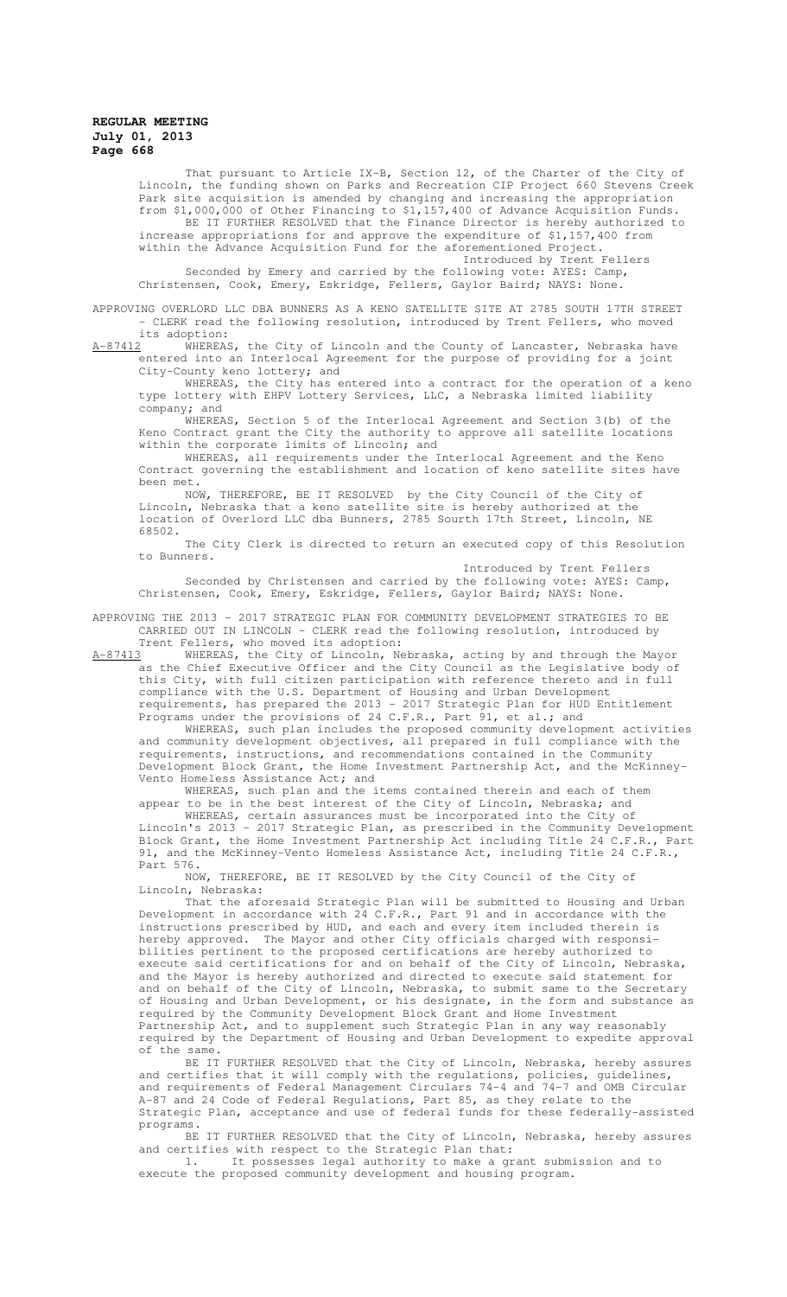That pursuant to Article IX-B, Section 12, of the Charter of the City of Lincoln, the funding shown on Parks and Recreation CIP Project 660 Stevens Creek Park site acquisition is amended by changing and increasing the appropriation from \$1,000,000 of Other Financing to \$1,157,400 of Advance Acquisition Funds. BE IT FURTHER RESOLVED that the Finance Director is hereby authorized to increase appropriations for and approve the expenditure of \$1,157,400 from

within the Advance Acquisition Fund for the aforementioned Project. Introduced by Trent Fellers Seconded by Emery and carried by the following vote: AYES: Camp, Christensen, Cook, Emery, Eskridge, Fellers, Gaylor Baird; NAYS: None.

APPROVING OVERLORD LLC DBA BUNNERS AS A KENO SATELLITE SITE AT 2785 SOUTH 17TH STREET - CLERK read the following resolution, introduced by Trent Fellers, who moved

its adoption:<br>A-87412 WHEREAS wHEREAS, the City of Lincoln and the County of Lancaster, Nebraska have entered into an Interlocal Agreement for the purpose of providing for a joint City-County keno lottery; and

WHEREAS, the City has entered into a contract for the operation of a keno type lottery with EHPV Lottery Services, LLC, a Nebraska limited liability company; and

WHEREAS, Section 5 of the Interlocal Agreement and Section 3(b) of the Keno Contract grant the City the authority to approve all satellite locations within the corporate limits of Lincoln; and

WHEREAS, all requirements under the Interlocal Agreement and the Keno Contract governing the establishment and location of keno satellite sites have been met.

NOW, THEREFORE, BE IT RESOLVED by the City Council of the City of Lincoln, Nebraska that a keno satellite site is hereby authorized at the location of Overlord LLC dba Bunners, 2785 Sourth 17th Street, Lincoln, NE 68502.

The City Clerk is directed to return an executed copy of this Resolution to Bunners.

Introduced by Trent Fellers Seconded by Christensen and carried by the following vote: AYES: Camp, Christensen, Cook, Emery, Eskridge, Fellers, Gaylor Baird; NAYS: None.

APPROVING THE 2013 - 2017 STRATEGIC PLAN FOR COMMUNITY DEVELOPMENT STRATEGIES TO BE CARRIED OUT IN LINCOLN - CLERK read the following resolution, introduced by Trent Fellers, who moved its adoption:

A-87413 WHEREAS, the City of Lincoln, Nebraska, acting by and through the Mayor as the Chief Executive Officer and the City Council as the Legislative body of this City, with full citizen participation with reference thereto and in full compliance with the U.S. Department of Housing and Urban Development requirements, has prepared the 2013 - 2017 Strategic Plan for HUD Entitlement Programs under the provisions of 24 C.F.R., Part 91, et al.; and

WHEREAS, such plan includes the proposed community development activities and community development objectives, all prepared in full compliance with the requirements, instructions, and recommendations contained in the Community Development Block Grant, the Home Investment Partnership Act, and the McKinney-Vento Homeless Assistance Act; and

WHEREAS, such plan and the items contained therein and each of them appear to be in the best interest of the City of Lincoln, Nebraska; and

WHEREAS, certain assurances must be incorporated into the City of Lincoln's 2013 - 2017 Strategic Plan, as prescribed in the Community Development Block Grant, the Home Investment Partnership Act including Title 24 C.F.R., Part 91, and the McKinney-Vento Homeless Assistance Act, including Title 24 C.F.R., Part 576.

NOW, THEREFORE, BE IT RESOLVED by the City Council of the City of Lincoln, Nebraska:

That the aforesaid Strategic Plan will be submitted to Housing and Urban Development in accordance with 24 C.F.R., Part 91 and in accordance with the instructions prescribed by HUD, and each and every item included therein is hereby approved. The Mayor and other City officials charged with responsibilities pertinent to the proposed certifications are hereby authorized to execute said certifications for and on behalf of the City of Lincoln, Nebraska, and the Mayor is hereby authorized and directed to execute said statement for and on behalf of the City of Lincoln, Nebraska, to submit same to the Secretary of Housing and Urban Development, or his designate, in the form and substance as required by the Community Development Block Grant and Home Investment Partnership Act, and to supplement such Strategic Plan in any way reasonably required by the Department of Housing and Urban Development to expedite approval of the same.

BE IT FURTHER RESOLVED that the City of Lincoln, Nebraska, hereby assures and certifies that it will comply with the regulations, policies, guidelines, and requirements of Federal Management Circulars 74-4 and 74-7 and OMB Circular A-87 and 24 Code of Federal Regulations, Part 85, as they relate to the Strategic Plan, acceptance and use of federal funds for these federally-assisted programs.

BE IT FURTHER RESOLVED that the City of Lincoln, Nebraska, hereby assures and certifies with respect to the Strategic Plan that:

1. It possesses legal authority to make a grant submission and to execute the proposed community development and housing program.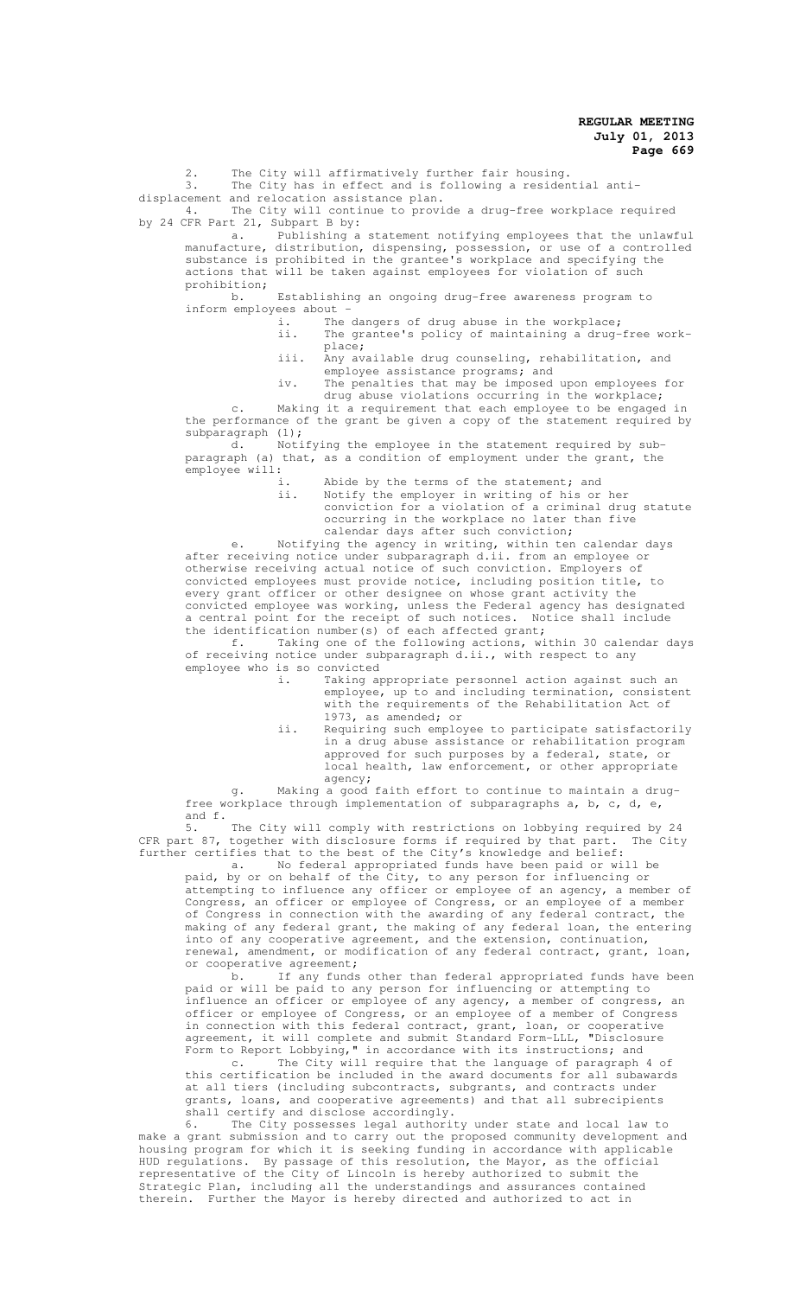2. The City will affirmatively further fair housing.

3. The City has in effect and is following a residential antidisplacement and relocation assistance plan.<br>4. The City will continue to provi

The City will continue to provide a drug-free workplace required by 24 CFR Part 21, Subpart B by:

a. Publishing a statement notifying employees that the unlawful manufacture, distribution, dispensing, possession, or use of a controlled substance is prohibited in the grantee's workplace and specifying the actions that will be taken against employees for violation of such prohibition;<br>b.

Establishing an ongoing drug-free awareness program to inform employees about -

- i. The dangers of drug abuse in the workplace;
- ii. The grantee's policy of maintaining a drug-free workplace;
- iii. Any available drug counseling, rehabilitation, and employee assistance programs; and
- iv. The penalties that may be imposed upon employees for drug abuse violations occurring in the workplace;

c. Making it a requirement that each employee to be engaged in the performance of the grant be given a copy of the statement required by subparagraph (1);<br>d. Noti

d. Notifying the employee in the statement required by subparagraph (a) that, as a condition of employment under the grant, the employee will:<br>i.

- i. Abide by the terms of the statement; and<br>ii. Notify the emplover in writing of his or
	- ii. Notify the employer in writing of his or her conviction for a violation of a criminal drug statute occurring in the workplace no later than five calendar days after such conviction;

Notifying the agency in writing, within ten calendar days after receiving notice under subparagraph d.ii. from an employee or otherwise receiving actual notice of such conviction. Employers of convicted employees must provide notice, including position title, to every grant officer or other designee on whose grant activity the convicted employee was working, unless the Federal agency has designated a central point for the receipt of such notices. Notice shall include the identification number(s) of each affected grant;

f. Taking one of the following actions, within 30 calendar days of receiving notice under subparagraph d.ii., with respect to any employee who is so convicted

- Taking appropriate personnel action against such an employee, up to and including termination, consistent with the requirements of the Rehabilitation Act of 1973, as amended; or
- ii. Requiring such employee to participate satisfactorily in a drug abuse assistance or rehabilitation program approved for such purposes by a federal, state, or local health, law enforcement, or other appropriate agency;

g. Making a good faith effort to continue to maintain a drugfree workplace through implementation of subparagraphs a, b, c, d, e, and  $f.$ <br>5.

The City will comply with restrictions on lobbying required by 24 CFR part 87, together with disclosure forms if required by that part. The City further certifies that to the best of the City's knowledge and belief:

a. No federal appropriated funds have been paid or will be paid, by or on behalf of the City, to any person for influencing or attempting to influence any officer or employee of an agency, a member of Congress, an officer or employee of Congress, or an employee of a member of Congress in connection with the awarding of any federal contract, the making of any federal grant, the making of any federal loan, the entering into of any cooperative agreement, and the extension, continuation, renewal, amendment, or modification of any federal contract, grant, loan, or cooperative agreement;

b. If any funds other than federal appropriated funds have been paid or will be paid to any person for influencing or attempting to influence an officer or employee of any agency, a member of congress, an officer or employee of Congress, or an employee of a member of Congress in connection with this federal contract, grant, loan, or cooperative agreement, it will complete and submit Standard Form-LLL, "Disclosure Form to Report Lobbying," in accordance with its instructions; and

c. The City will require that the language of paragraph 4 of this certification be included in the award documents for all subawards at all tiers (including subcontracts, subgrants, and contracts under grants, loans, and cooperative agreements) and that all subrecipients shall certify and disclose accordingly.

6. The City possesses legal authority under state and local law to make a grant submission and to carry out the proposed community development and housing program for which it is seeking funding in accordance with applicable HUD regulations. By passage of this resolution, the Mayor, as the official representative of the City of Lincoln is hereby authorized to submit the Strategic Plan, including all the understandings and assurances contained therein. Further the Mayor is hereby directed and authorized to act in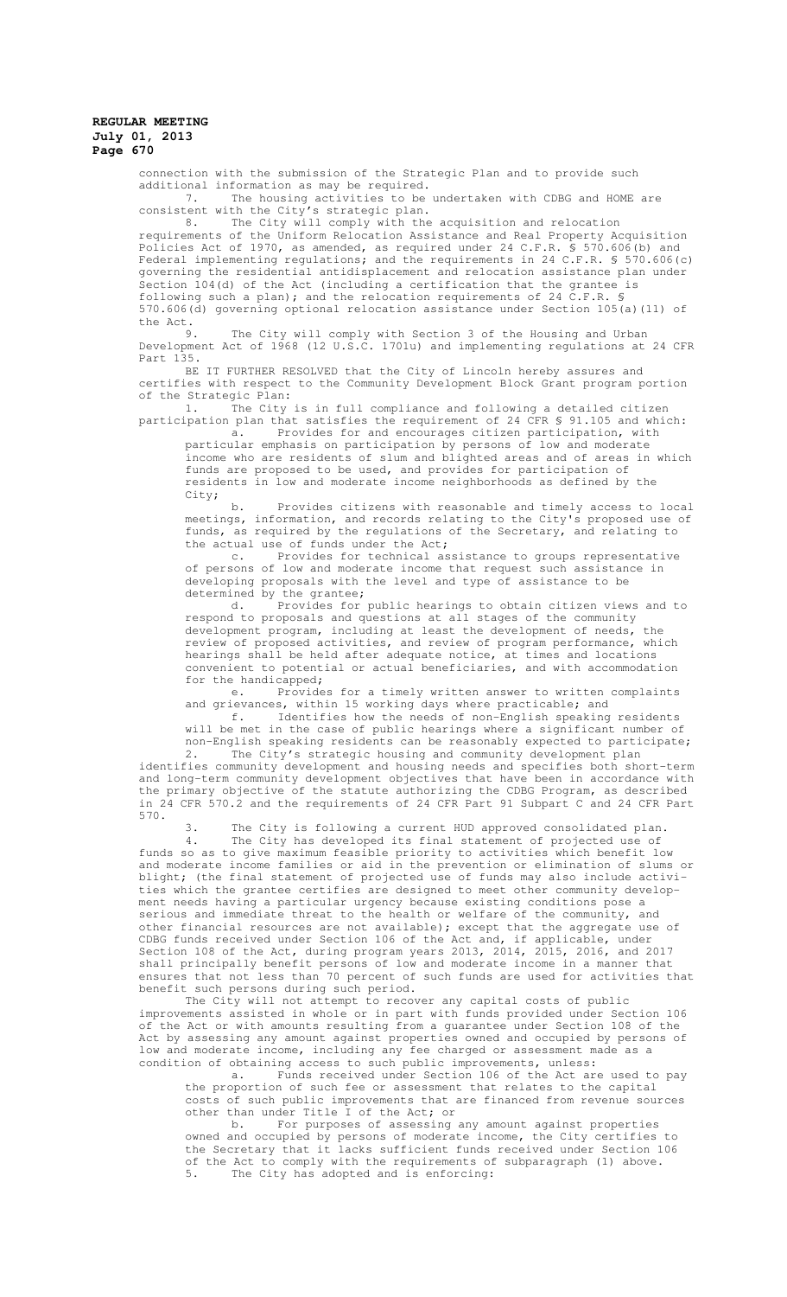connection with the submission of the Strategic Plan and to provide such additional information as may be required.

The housing activities to be undertaken with CDBG and HOME are consistent with the City's strategic plan.

8. The City will comply with the acquisition and relocation requirements of the Uniform Relocation Assistance and Real Property Acquisition Policies Act of 1970, as amended, as required under 24 C.F.R. § 570.606(b) and Federal implementing regulations; and the requirements in 24 C.F.R. § 570.606(c) governing the residential antidisplacement and relocation assistance plan under Section 104(d) of the Act (including a certification that the grantee is following such a plan); and the relocation requirements of 24 C.F.R. § 570.606(d) governing optional relocation assistance under Section 105(a)(11) of the Act.

9. The City will comply with Section 3 of the Housing and Urban Development Act of 1968 (12 U.S.C. 1701u) and implementing regulations at 24 CFR Part 135.

BE IT FURTHER RESOLVED that the City of Lincoln hereby assures and certifies with respect to the Community Development Block Grant program portion of the Strategic Plan:

1. The City is in full compliance and following a detailed citizen participation plan that satisfies the requirement of 24 CFR § 91.105 and which: a. Provides for and encourages citizen participation, with

particular emphasis on participation by persons of low and moderate income who are residents of slum and blighted areas and of areas in which funds are proposed to be used, and provides for participation of residents in low and moderate income neighborhoods as defined by the City;

b. Provides citizens with reasonable and timely access to local meetings, information, and records relating to the City's proposed use of funds, as required by the regulations of the Secretary, and relating to the actual use of funds under the Act;

c. Provides for technical assistance to groups representative of persons of low and moderate income that request such assistance in developing proposals with the level and type of assistance to be determined by the grantee;

d. Provides for public hearings to obtain citizen views and to respond to proposals and questions at all stages of the community development program, including at least the development of needs, the review of proposed activities, and review of program performance, which hearings shall be held after adequate notice, at times and locations convenient to potential or actual beneficiaries, and with accommodation

for the handicapped;<br>e. Provide Provides for a timely written answer to written complaints and grievances, within 15 working days where practicable; and

f. Identifies how the needs of non-English speaking residents will be met in the case of public hearings where a significant number of non-English speaking residents can be reasonably expected to participate;

2. The City's strategic housing and community development plan identifies community development and housing needs and specifies both short-term and long-term community development objectives that have been in accordance with the primary objective of the statute authorizing the CDBG Program, as described in 24 CFR 570.2 and the requirements of 24 CFR Part 91 Subpart C and 24 CFR Part 570.

3. The City is following a current HUD approved consolidated plan. 4. The City has developed its final statement of projected use of funds so as to give maximum feasible priority to activities which benefit low and moderate income families or aid in the prevention or elimination of slums or blight; (the final statement of projected use of funds may also include activities which the grantee certifies are designed to meet other community development needs having a particular urgency because existing conditions pose a serious and immediate threat to the health or welfare of the community, and other financial resources are not available); except that the aggregate use of CDBG funds received under Section 106 of the Act and, if applicable, under Section 108 of the Act, during program years 2013, 2014, 2015, 2016, and 2017 shall principally benefit persons of low and moderate income in a manner that ensures that not less than 70 percent of such funds are used for activities that benefit such persons during such period.

The City will not attempt to recover any capital costs of public improvements assisted in whole or in part with funds provided under Section 106 of the Act or with amounts resulting from a guarantee under Section 108 of the Act by assessing any amount against properties owned and occupied by persons of low and moderate income, including any fee charged or assessment made as a condition of obtaining access to such public improvements, unless:

a. Funds received under Section 106 of the Act are used to pay the proportion of such fee or assessment that relates to the capital costs of such public improvements that are financed from revenue sources other than under Title I of the Act; or

b. For purposes of assessing any amount against properties owned and occupied by persons of moderate income, the City certifies to the Secretary that it lacks sufficient funds received under Section 106 of the Act to comply with the requirements of subparagraph (1) above. 5. The City has adopted and is enforcing: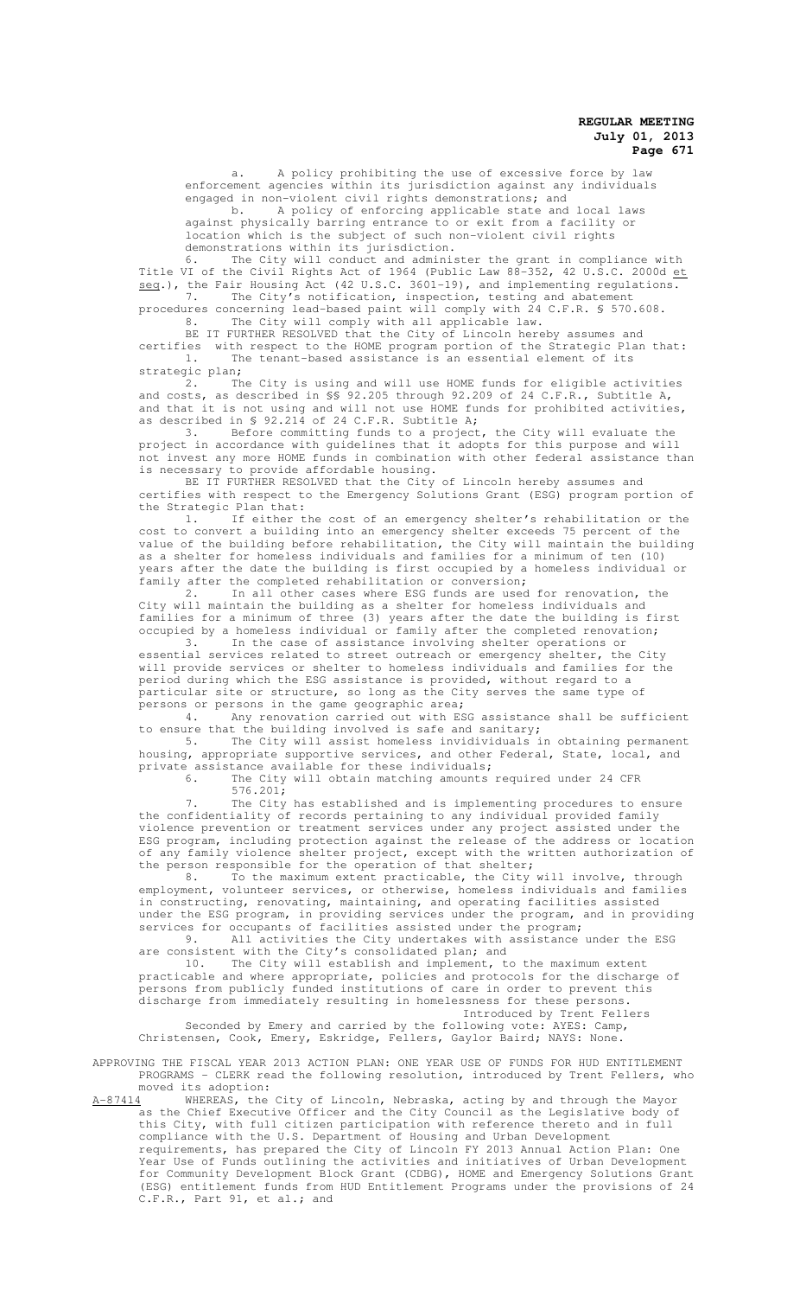a. A policy prohibiting the use of excessive force by law enforcement agencies within its jurisdiction against any individuals engaged in non-violent civil rights demonstrations; and

b. A policy of enforcing applicable state and local laws against physically barring entrance to or exit from a facility or location which is the subject of such non-violent civil rights demonstrations within its jurisdiction.

6. The City will conduct and administer the grant in compliance with Title VI of the Civil Rights Act of 1964 (Public Law  $88-352$ , 42 U.S.C. 2000d et seq.), the Fair Housing Act (42 U.S.C. 3601-19), and implementing regulations. 7. The City's notification, inspection, testing and abatement

procedures concerning lead-based paint will comply with 24 C.F.R. § 570.608. 8. The City will comply with all applicable law.

BE IT FURTHER RESOLVED that the City of Lincoln hereby assumes and certifies with respect to the HOME program portion of the Strategic Plan that: 1. The tenant-based assistance is an essential element of its strategic plan;

2. The City is using and will use HOME funds for eligible activities and costs, as described in §§ 92.205 through 92.209 of 24 C.F.R., Subtitle A, and that it is not using and will not use HOME funds for prohibited activities, as described in § 92.214 of 24 C.F.R. Subtitle A;

3. Before committing funds to a project, the City will evaluate the project in accordance with guidelines that it adopts for this purpose and will not invest any more HOME funds in combination with other federal assistance than is necessary to provide affordable housing.

BE IT FURTHER RESOLVED that the City of Lincoln hereby assumes and certifies with respect to the Emergency Solutions Grant (ESG) program portion of the Strategic Plan that:

1. If either the cost of an emergency shelter's rehabilitation or the cost to convert a building into an emergency shelter exceeds 75 percent of the value of the building before rehabilitation, the City will maintain the building as a shelter for homeless individuals and families for a minimum of ten (10) years after the date the building is first occupied by a homeless individual or family after the completed rehabilitation or conversion;

2. In all other cases where ESG funds are used for renovation, the City will maintain the building as a shelter for homeless individuals and families for a minimum of three (3) years after the date the building is first occupied by a homeless individual or family after the completed renovation;<br>3. In the case of assistance involving shelter operations or

In the case of assistance involving shelter operations or essential services related to street outreach or emergency shelter, the City will provide services or shelter to homeless individuals and families for the period during which the ESG assistance is provided, without regard to a particular site or structure, so long as the City serves the same type of persons or persons in the game geographic area;

4. Any renovation carried out with ESG assistance shall be sufficient to ensure that the building involved is safe and sanitary;<br>5. The City will assist homeless invidividuals i

The City will assist homeless invidividuals in obtaining permanent housing, appropriate supportive services, and other Federal, State, local, and private assistance available for these individuals;

6. The City will obtain matching amounts required under 24 CFR  $576.201;$ 

The City has established and is implementing procedures to ensure the confidentiality of records pertaining to any individual provided family violence prevention or treatment services under any project assisted under the ESG program, including protection against the release of the address or location of any family violence shelter project, except with the written authorization of the person responsible for the operation of that shelter;<br>8. To the maximum extent practicable, the City

To the maximum extent practicable, the City will involve, through employment, volunteer services, or otherwise, homeless individuals and families in constructing, renovating, maintaining, and operating facilities assisted under the ESG program, in providing services under the program, and in providing services for occupants of facilities assisted under the program;

9. All activities the City undertakes with assistance under the ESG are consistent with the City's consolidated plan; and

10. The City will establish and implement, to the maximum extent practicable and where appropriate, policies and protocols for the discharge of persons from publicly funded institutions of care in order to prevent this discharge from immediately resulting in homelessness for these persons. Introduced by Trent Fellers

Seconded by Emery and carried by the following vote: AYES: Camp, Christensen, Cook, Emery, Eskridge, Fellers, Gaylor Baird; NAYS: None.

APPROVING THE FISCAL YEAR 2013 ACTION PLAN: ONE YEAR USE OF FUNDS FOR HUD ENTITLEMENT PROGRAMS - CLERK read the following resolution, introduced by Trent Fellers, who moved its adoption:

A-87414 WHEREAS, the City of Lincoln, Nebraska, acting by and through the Mayor as the Chief Executive Officer and the City Council as the Legislative body of this City, with full citizen participation with reference thereto and in full compliance with the U.S. Department of Housing and Urban Development requirements, has prepared the City of Lincoln FY 2013 Annual Action Plan: One Year Use of Funds outlining the activities and initiatives of Urban Development for Community Development Block Grant (CDBG), HOME and Emergency Solutions Grant (ESG) entitlement funds from HUD Entitlement Programs under the provisions of 24 C.F.R., Part 91, et al.; and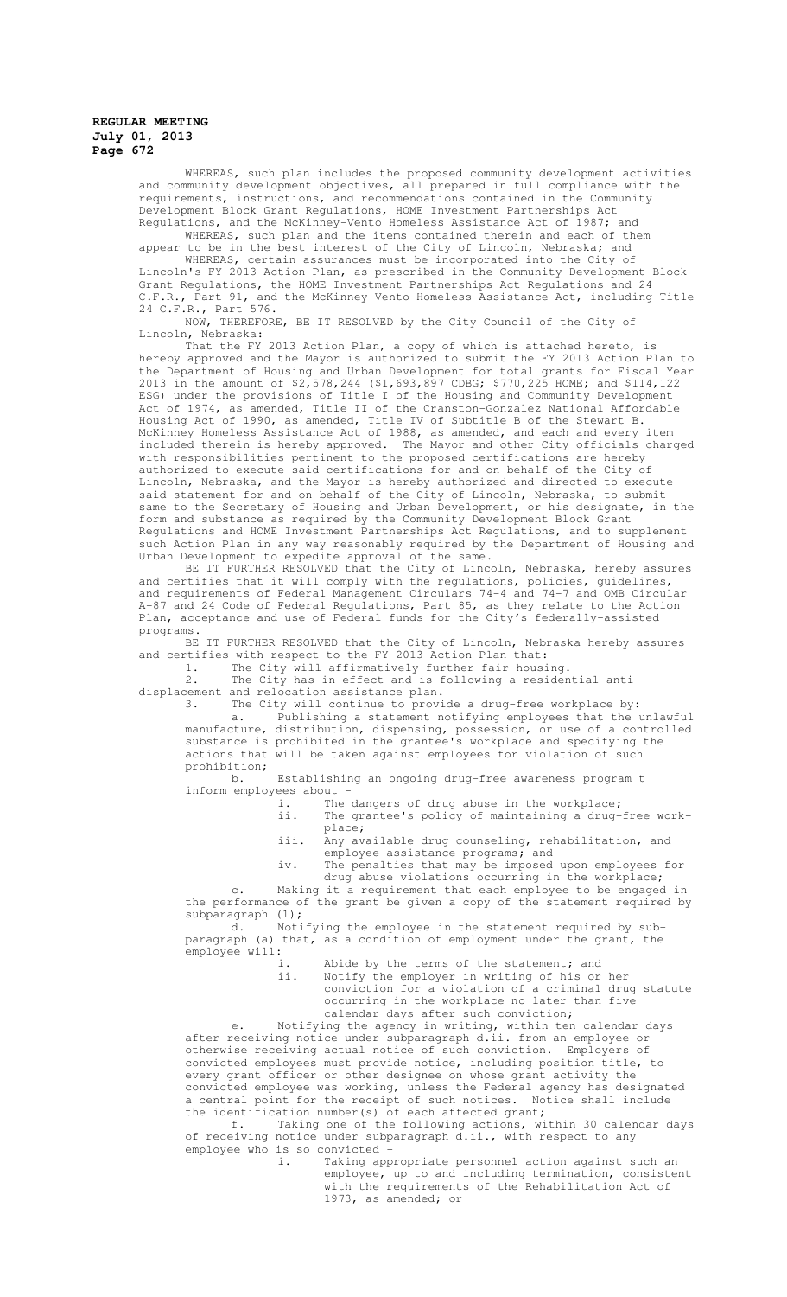WHEREAS, such plan includes the proposed community development activities and community development objectives, all prepared in full compliance with the requirements, instructions, and recommendations contained in the Community Development Block Grant Regulations, HOME Investment Partnerships Act Regulations, and the McKinney-Vento Homeless Assistance Act of 1987; and

WHEREAS, such plan and the items contained therein and each of them appear to be in the best interest of the City of Lincoln, Nebraska; and

WHEREAS, certain assurances must be incorporated into the City of Lincoln's FY 2013 Action Plan, as prescribed in the Community Development Block Grant Regulations, the HOME Investment Partnerships Act Regulations and 24 C.F.R., Part 91, and the McKinney-Vento Homeless Assistance Act, including Title 24 C.F.R., Part 576.

NOW, THEREFORE, BE IT RESOLVED by the City Council of the City of Lincoln, Nebraska:

That the FY 2013 Action Plan, a copy of which is attached hereto, is hereby approved and the Mayor is authorized to submit the FY 2013 Action Plan to the Department of Housing and Urban Development for total grants for Fiscal Year 2013 in the amount of \$2,578,244 (\$1,693,897 CDBG; \$770,225 HOME; and \$114,122 ESG) under the provisions of Title I of the Housing and Community Development Act of 1974, as amended, Title II of the Cranston-Gonzalez National Affordable Housing Act of 1990, as amended, Title IV of Subtitle B of the Stewart B. McKinney Homeless Assistance Act of 1988, as amended, and each and every item included therein is hereby approved. The Mayor and other City officials charged with responsibilities pertinent to the proposed certifications are hereby authorized to execute said certifications for and on behalf of the City of Lincoln, Nebraska, and the Mayor is hereby authorized and directed to execute said statement for and on behalf of the City of Lincoln, Nebraska, to submit same to the Secretary of Housing and Urban Development, or his designate, in the form and substance as required by the Community Development Block Grant Regulations and HOME Investment Partnerships Act Regulations, and to supplement such Action Plan in any way reasonably required by the Department of Housing and Urban Development to expedite approval of the same.

BE IT FURTHER RESOLVED that the City of Lincoln, Nebraska, hereby assures and certifies that it will comply with the regulations, policies, guidelines, and requirements of Federal Management Circulars 74-4 and 74-7 and OMB Circular A-87 and 24 Code of Federal Regulations, Part 85, as they relate to the Action Plan, acceptance and use of Federal funds for the City's federally-assisted programs.

BE IT FURTHER RESOLVED that the City of Lincoln, Nebraska hereby assures and certifies with respect to the FY 2013 Action Plan that:

1. The City will affirmatively further fair housing. 2. The City has in effect and is following a residential anti-

displacement and relocation assistance plan.

3. The City will continue to provide a drug-free workplace by: a. Publishing a statement notifying employees that the unlawful manufacture, distribution, dispensing, possession, or use of a controlled substance is prohibited in the grantee's workplace and specifying the actions that will be taken against employees for violation of such prohibition;

b. Establishing an ongoing drug-free awareness program t inform employees about -

i. The dangers of drug abuse in the workplace; ii. The grantee's policy of maintaining a drug-free workplace;

- iii. Any available drug counseling, rehabilitation, and employee assistance programs; and
- iv. The penalties that may be imposed upon employees for drug abuse violations occurring in the workplace;

Making it a requirement that each employee to be engaged in the performance of the grant be given a copy of the statement required by subparagraph (1);

d. Notifying the employee in the statement required by subparagraph (a) that, as a condition of employment under the grant, the employee will:

- i. Abide by the terms of the statement; and<br>ii. Notify the employer in writing of his or
- Notify the employer in writing of his or her conviction for a violation of a criminal drug statute occurring in the workplace no later than five calendar days after such conviction;

e. Notifying the agency in writing, within ten calendar days after receiving notice under subparagraph d.ii. from an employee or otherwise receiving actual notice of such conviction. Employers of convicted employees must provide notice, including position title, to every grant officer or other designee on whose grant activity the convicted employee was working, unless the Federal agency has designated a central point for the receipt of such notices. Notice shall include the identification number(s) of each affected grant;

f. Taking one of the following actions, within 30 calendar days of receiving notice under subparagraph d.ii., with respect to any employee who is so convicted

i. Taking appropriate personnel action against such an employee, up to and including termination, consistent with the requirements of the Rehabilitation Act of 1973, as amended; or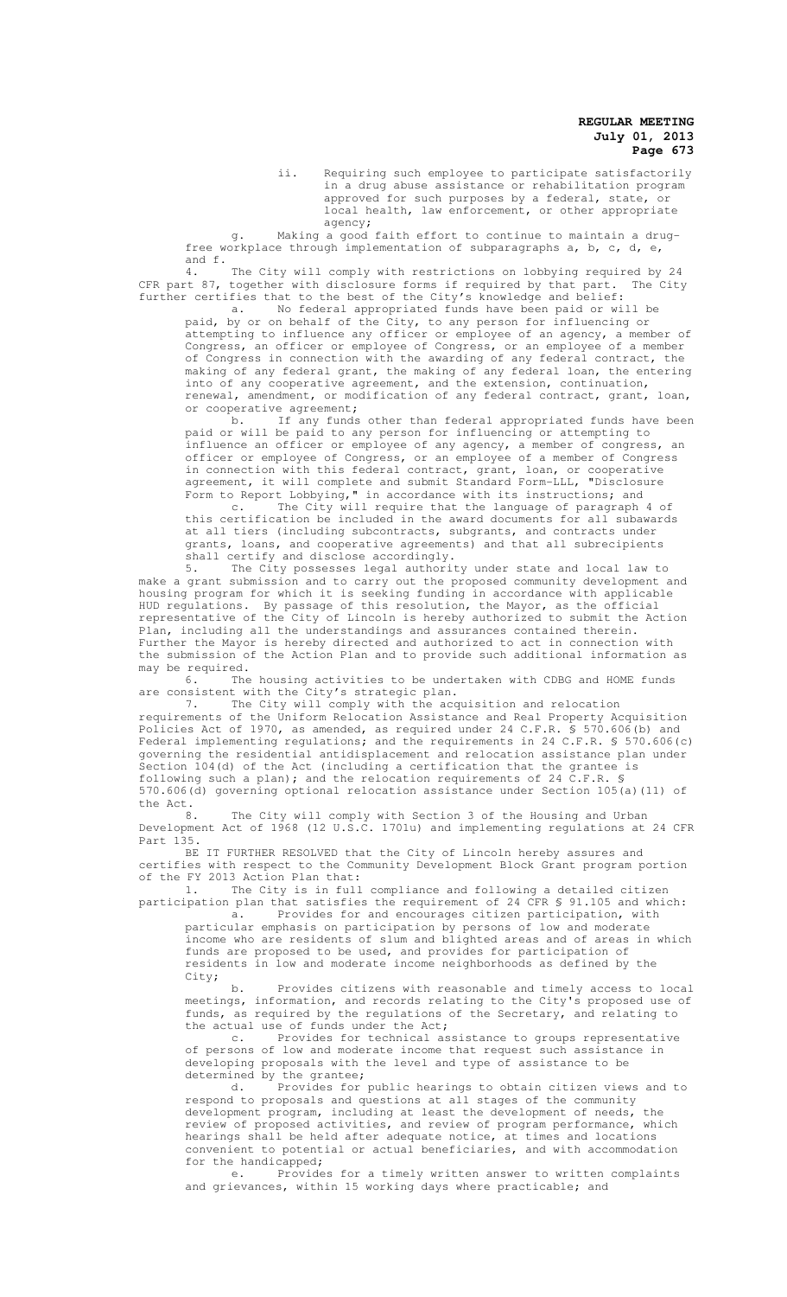ii. Requiring such employee to participate satisfactorily in a drug abuse assistance or rehabilitation program approved for such purposes by a federal, state, or local health, law enforcement, or other appropriate agency;

g. Making a good faith effort to continue to maintain a drugfree workplace through implementation of subparagraphs a, b, c, d, e, and f.

4. The City will comply with restrictions on lobbying required by 24 CFR part 87, together with disclosure forms if required by that part. The City further certifies that to the best of the City's knowledge and belief:

a. No federal appropriated funds have been paid or will be paid, by or on behalf of the City, to any person for influencing or attempting to influence any officer or employee of an agency, a member of Congress, an officer or employee of Congress, or an employee of a member of Congress in connection with the awarding of any federal contract, the making of any federal grant, the making of any federal loan, the entering into of any cooperative agreement, and the extension, continuation, renewal, amendment, or modification of any federal contract, grant, loan, or cooperative agreement;

b. If any funds other than federal appropriated funds have been paid or will be paid to any person for influencing or attempting to influence an officer or employee of any agency, a member of congress, an officer or employee of Congress, or an employee of a member of Congress in connection with this federal contract, grant, loan, or cooperative agreement, it will complete and submit Standard Form-LLL, "Disclosure Form to Report Lobbying," in accordance with its instructions; and

c. The City will require that the language of paragraph 4 of this certification be included in the award documents for all subawards at all tiers (including subcontracts, subgrants, and contracts under grants, loans, and cooperative agreements) and that all subrecipients shall certify and disclose accordingly.

5. The City possesses legal authority under state and local law to make a grant submission and to carry out the proposed community development and housing program for which it is seeking funding in accordance with applicable HUD regulations. By passage of this resolution, the Mayor, as the official representative of the City of Lincoln is hereby authorized to submit the Action Plan, including all the understandings and assurances contained therein. Further the Mayor is hereby directed and authorized to act in connection with the submission of the Action Plan and to provide such additional information as may be required.<br>6. The

The housing activities to be undertaken with CDBG and HOME funds are consistent with the City's strategic plan.

7. The City will comply with the acquisition and relocation requirements of the Uniform Relocation Assistance and Real Property Acquisition Policies Act of 1970, as amended, as required under 24 C.F.R. § 570.606(b) and Federal implementing regulations; and the requirements in 24 C.F.R. § 570.606(c) governing the residential antidisplacement and relocation assistance plan under Section 104(d) of the Act (including a certification that the grantee is following such a plan); and the relocation requirements of 24 C.F.R. § 570.606(d) governing optional relocation assistance under Section 105(a)(11) of the Act.

8. The City will comply with Section 3 of the Housing and Urban Development Act of 1968 (12 U.S.C. 1701u) and implementing regulations at 24 CFR Part 135.

BE IT FURTHER RESOLVED that the City of Lincoln hereby assures and certifies with respect to the Community Development Block Grant program portion of the FY 2013 Action Plan that:

1. The City is in full compliance and following a detailed citizen participation plan that satisfies the requirement of 24 CFR § 91.105 and which: a. Provides for and encourages citizen participation, with

particular emphasis on participation by persons of low and moderate income who are residents of slum and blighted areas and of areas in which funds are proposed to be used, and provides for participation of residents in low and moderate income neighborhoods as defined by the City;

b. Provides citizens with reasonable and timely access to local meetings, information, and records relating to the City's proposed use of funds, as required by the regulations of the Secretary, and relating to the actual use of funds under the Act;

c. Provides for technical assistance to groups representative of persons of low and moderate income that request such assistance in developing proposals with the level and type of assistance to be determined by the grantee;

d. Provides for public hearings to obtain citizen views and to respond to proposals and questions at all stages of the community development program, including at least the development of needs, the review of proposed activities, and review of program performance, which hearings shall be held after adequate notice, at times and locations convenient to potential or actual beneficiaries, and with accommodation for the handicapped;

e. Provides for a timely written answer to written complaints and grievances, within 15 working days where practicable; and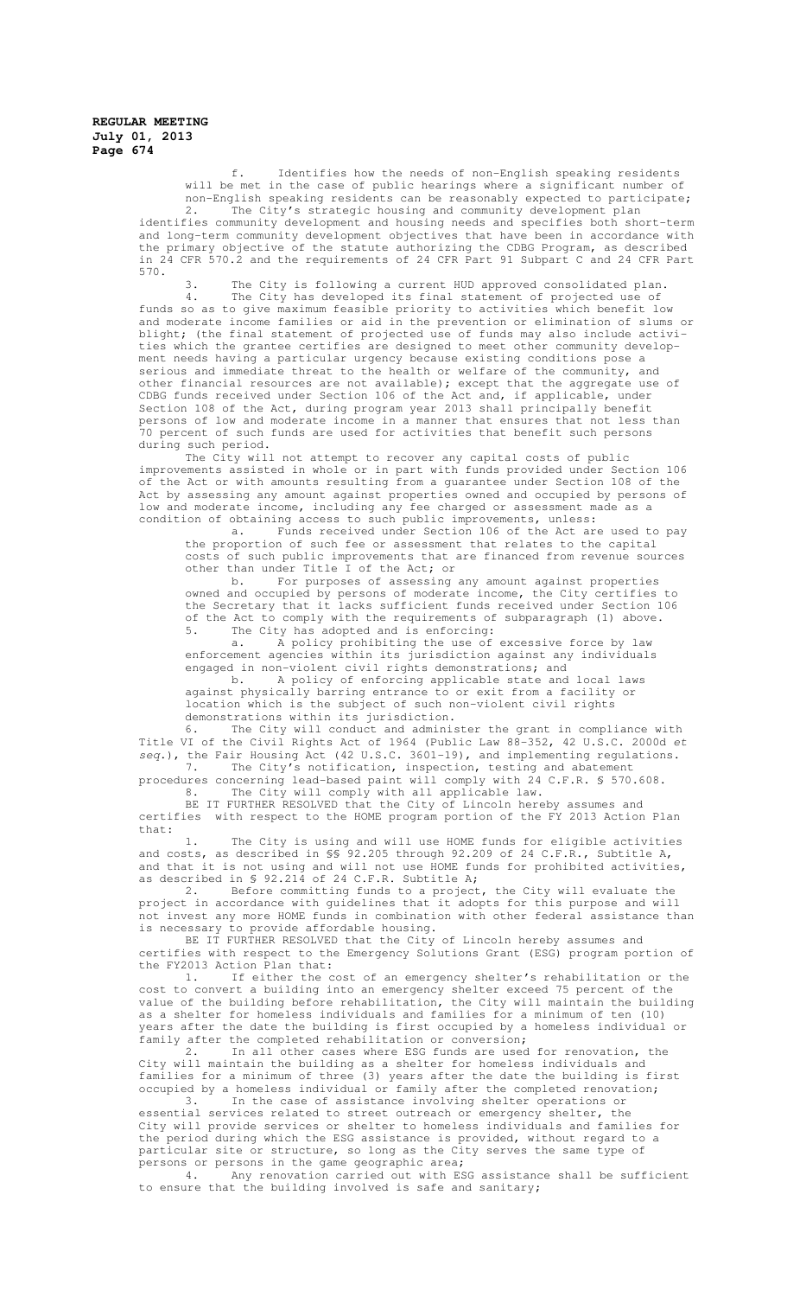f. Identifies how the needs of non-English speaking residents will be met in the case of public hearings where a significant number of non-English speaking residents can be reasonably expected to participate; 2. The City's strategic housing and community development plan identifies community development and housing needs and specifies both short-term and long-term community development objectives that have been in accordance with the primary objective of the statute authorizing the CDBG Program, as described in 24 CFR 570.2 and the requirements of 24 CFR Part 91 Subpart C and 24 CFR Part 570.

3. The City is following a current HUD approved consolidated plan. 4. The City has developed its final statement of projected use of funds so as to give maximum feasible priority to activities which benefit low and moderate income families or aid in the prevention or elimination of slums or blight; (the final statement of projected use of funds may also include activities which the grantee certifies are designed to meet other community development needs having a particular urgency because existing conditions pose a serious and immediate threat to the health or welfare of the community, and other financial resources are not available); except that the aggregate use of CDBG funds received under Section 106 of the Act and, if applicable, under Section 108 of the Act, during program year 2013 shall principally benefit persons of low and moderate income in a manner that ensures that not less than 70 percent of such funds are used for activities that benefit such persons during such period.

The City will not attempt to recover any capital costs of public improvements assisted in whole or in part with funds provided under Section 106 of the Act or with amounts resulting from a guarantee under Section 108 of the Act by assessing any amount against properties owned and occupied by persons of low and moderate income, including any fee charged or assessment made as a condition of obtaining access to such public improvements, unless:

a. Funds received under Section 106 of the Act are used to pay the proportion of such fee or assessment that relates to the capital costs of such public improvements that are financed from revenue sources other than under Title I of the Act; or

b. For purposes of assessing any amount against properties owned and occupied by persons of moderate income, the City certifies to the Secretary that it lacks sufficient funds received under Section 106 of the Act to comply with the requirements of subparagraph (1) above. 5. The City has adopted and is enforcing:

a. A policy prohibiting the use of excessive force by law enforcement agencies within its jurisdiction against any individuals engaged in non-violent civil rights demonstrations; and

b. A policy of enforcing applicable state and local laws against physically barring entrance to or exit from a facility or location which is the subject of such non-violent civil rights demonstrations within its jurisdiction.

6. The City will conduct and administer the grant in compliance with Title VI of the Civil Rights Act of 1964 (Public Law 88-352, 42 U.S.C. 2000d et seq.), the Fair Housing Act (42 U.S.C. 3601-19), and implementing regulations. 7. The City's notification, inspection, testing and abatement

procedures concerning lead-based paint will comply with 24 C.F.R. § 570.608. 8. The City will comply with all applicable law.

BE IT FURTHER RESOLVED that the City of Lincoln hereby assumes and certifies with respect to the HOME program portion of the FY 2013 Action Plan that:

1. The City is using and will use HOME funds for eligible activities and costs, as described in §§ 92.205 through 92.209 of 24 C.F.R., Subtitle A, and that it is not using and will not use HOME funds for prohibited activities, as described in § 92.214 of 24 C.F.R. Subtitle A;

2. Before committing funds to a project, the City will evaluate the project in accordance with guidelines that it adopts for this purpose and will not invest any more HOME funds in combination with other federal assistance than is necessary to provide affordable housing.

BE IT FURTHER RESOLVED that the City of Lincoln hereby assumes and certifies with respect to the Emergency Solutions Grant (ESG) program portion of the FY2013 Action Plan that:

1. If either the cost of an emergency shelter's rehabilitation or the cost to convert a building into an emergency shelter exceed 75 percent of the value of the building before rehabilitation, the City will maintain the building as a shelter for homeless individuals and families for a minimum of ten (10) years after the date the building is first occupied by a homeless individual or family after the completed rehabilitation or conversion;

2. In all other cases where ESG funds are used for renovation, the City will maintain the building as a shelter for homeless individuals and families for a minimum of three (3) years after the date the building is first occupied by a homeless individual or family after the completed renovation;

3. In the case of assistance involving shelter operations or essential services related to street outreach or emergency shelter, the City will provide services or shelter to homeless individuals and families for the period during which the ESG assistance is provided, without regard to a particular site or structure, so long as the City serves the same type of persons or persons in the game geographic area;

4. Any renovation carried out with ESG assistance shall be sufficient to ensure that the building involved is safe and sanitary;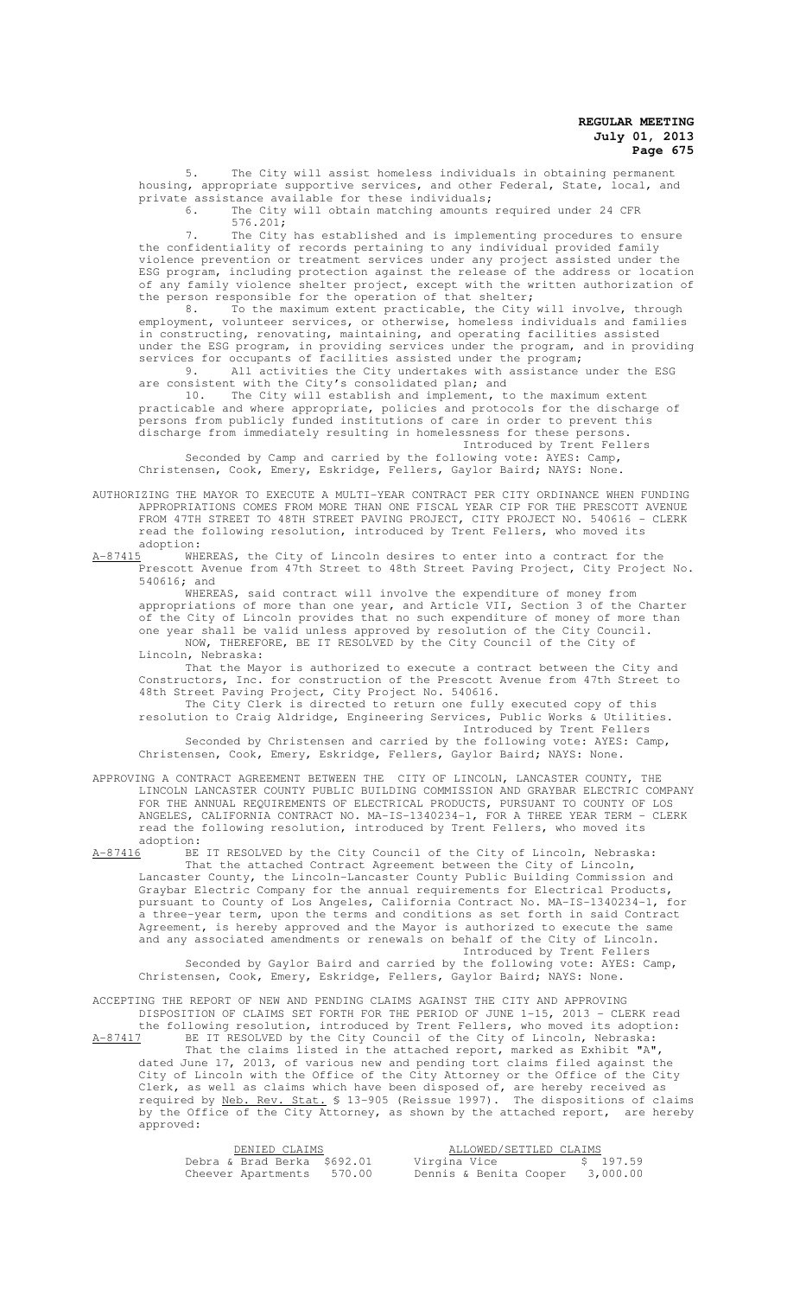5. The City will assist homeless individuals in obtaining permanent housing, appropriate supportive services, and other Federal, State, local, and private assistance available for these individuals;<br>6. The City will obtain matching amounts

The City will obtain matching amounts required under 24 CFR 576.201;

7. The City has established and is implementing procedures to ensure the confidentiality of records pertaining to any individual provided family violence prevention or treatment services under any project assisted under the ESG program, including protection against the release of the address or location of any family violence shelter project, except with the written authorization of the person responsible for the operation of that shelter;

8. To the maximum extent practicable, the City will involve, through employment, volunteer services, or otherwise, homeless individuals and families in constructing, renovating, maintaining, and operating facilities assisted under the ESG program, in providing services under the program, and in providing services for occupants of facilities assisted under the program;

9. All activities the City undertakes with assistance under the ESG are consistent with the City's consolidated plan; and

10. The City will establish and implement, to the maximum extent practicable and where appropriate, policies and protocols for the discharge of persons from publicly funded institutions of care in order to prevent this discharge from immediately resulting in homelessness for these persons.

Introduced by Trent Fellers

Seconded by Camp and carried by the following vote: AYES: Camp, Christensen, Cook, Emery, Eskridge, Fellers, Gaylor Baird; NAYS: None.

AUTHORIZING THE MAYOR TO EXECUTE A MULTI-YEAR CONTRACT PER CITY ORDINANCE WHEN FUNDING APPROPRIATIONS COMES FROM MORE THAN ONE FISCAL YEAR CIP FOR THE PRESCOTT AVENUE FROM 47TH STREET TO 48TH STREET PAVING PROJECT, CITY PROJECT NO. 540616 - CLERK read the following resolution, introduced by Trent Fellers, who moved its adoption:

A-87415 WHEREAS, the City of Lincoln desires to enter into a contract for the Prescott Avenue from 47th Street to 48th Street Paving Project, City Project No. 540616; and

WHEREAS, said contract will involve the expenditure of money from appropriations of more than one year, and Article VII, Section 3 of the Charter of the City of Lincoln provides that no such expenditure of money of more than one year shall be valid unless approved by resolution of the City Council. NOW, THEREFORE, BE IT RESOLVED by the City Council of the City of Lincoln, Nebraska:

That the Mayor is authorized to execute a contract between the City and Constructors, Inc. for construction of the Prescott Avenue from 47th Street to 48th Street Paving Project, City Project No. 540616.

The City Clerk is directed to return one fully executed copy of this resolution to Craig Aldridge, Engineering Services, Public Works & Utilities. Introduced by Trent Fellers

Seconded by Christensen and carried by the following vote: AYES: Camp, Christensen, Cook, Emery, Eskridge, Fellers, Gaylor Baird; NAYS: None.

APPROVING A CONTRACT AGREEMENT BETWEEN THE CITY OF LINCOLN, LANCASTER COUNTY, THE LINCOLN LANCASTER COUNTY PUBLIC BUILDING COMMISSION AND GRAYBAR ELECTRIC COMPANY FOR THE ANNUAL REQUIREMENTS OF ELECTRICAL PRODUCTS, PURSUANT TO COUNTY OF LOS ANGELES, CALIFORNIA CONTRACT NO. MA-IS-1340234-1, FOR A THREE YEAR TERM - CLERK read the following resolution, introduced by Trent Fellers, who moved its  $\frac{\text{adoption:}}{\text{A}-87416}$ BE

A-87416 BE IT RESOLVED by the City Council of the City of Lincoln, Nebraska: That the attached Contract Agreement between the City of Lincoln, Lancaster County, the Lincoln-Lancaster County Public Building Commission and Graybar Electric Company for the annual requirements for Electrical Products, pursuant to County of Los Angeles, California Contract No. MA-IS-1340234-1, for a three-year term, upon the terms and conditions as set forth in said Contract Agreement, is hereby approved and the Mayor is authorized to execute the same and any associated amendments or renewals on behalf of the City of Lincoln.

Introduced by Trent Fellers<br>the following vote: AYES: Camp, Seconded by Gaylor Baird and carried by the following Christensen, Cook, Emery, Eskridge, Fellers, Gaylor Baird; NAYS: None.

ACCEPTING THE REPORT OF NEW AND PENDING CLAIMS AGAINST THE CITY AND APPROVING DISPOSITION OF CLAIMS SET FORTH FOR THE PERIOD OF JUNE 1-15, 2013 - CLERK read the following resolution, introduced by Trent Fellers, who moved its adoption: A-87417 BE IT RESOLVED by the City Council of the City of Lincoln, Nebraska:

That the claims listed in the attached report, marked as Exhibit "A", dated June 17, 2013, of various new and pending tort claims filed against the City of Lincoln with the Office of the City Attorney or the Office of the City Clerk, as well as claims which have been disposed of, are hereby received as required by Neb. Rev. Stat. § 13-905 (Reissue 1997). The dispositions of claims by the Office of the City Attorney, as shown by the attached report, are hereby approved:

| DENIED CLAIMS               | ALLOWED/SETTLED CLAIMS |          |
|-----------------------------|------------------------|----------|
| Debra & Brad Berka \$692.01 | Virgina Vice           | \$197.59 |
| Cheever Apartments 570.00   | Dennis & Benita Cooper | 3,000.00 |